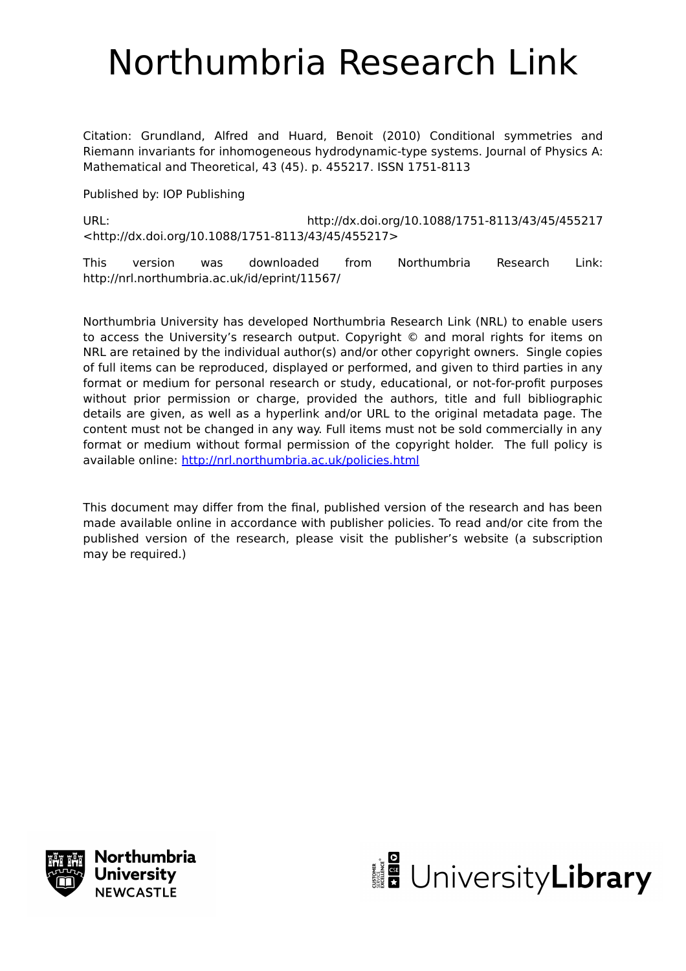# Northumbria Research Link

Citation: Grundland, Alfred and Huard, Benoit (2010) Conditional symmetries and Riemann invariants for inhomogeneous hydrodynamic-type systems. Journal of Physics A: Mathematical and Theoretical, 43 (45). p. 455217. ISSN 1751-8113

Published by: IOP Publishing

URL: http://dx.doi.org/10.1088/1751-8113/43/45/455217 <http://dx.doi.org/10.1088/1751-8113/43/45/455217>

This version was downloaded from Northumbria Research Link: http://nrl.northumbria.ac.uk/id/eprint/11567/

Northumbria University has developed Northumbria Research Link (NRL) to enable users to access the University's research output. Copyright © and moral rights for items on NRL are retained by the individual author(s) and/or other copyright owners. Single copies of full items can be reproduced, displayed or performed, and given to third parties in any format or medium for personal research or study, educational, or not-for-profit purposes without prior permission or charge, provided the authors, title and full bibliographic details are given, as well as a hyperlink and/or URL to the original metadata page. The content must not be changed in any way. Full items must not be sold commercially in any format or medium without formal permission of the copyright holder. The full policy is available online:<http://nrl.northumbria.ac.uk/policies.html>

This document may differ from the final, published version of the research and has been made available online in accordance with publisher policies. To read and/or cite from the published version of the research, please visit the publisher's website (a subscription may be required.)



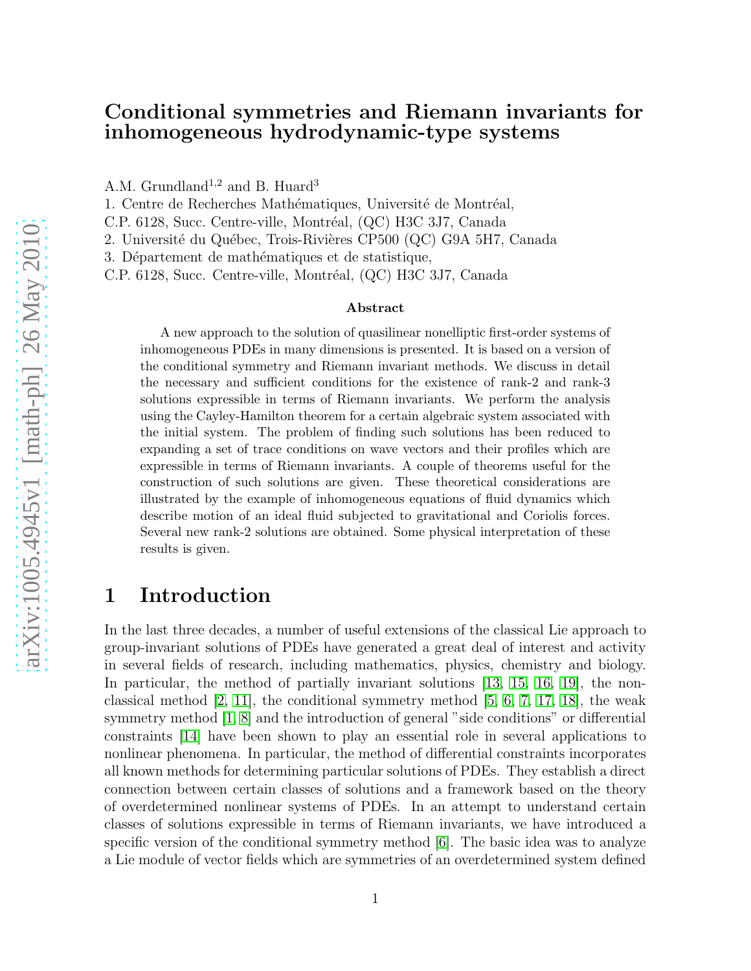### Conditional symmetries and Riemann invariants for inhomogeneous hydrodynamic-type systems

A.M. Grundland<sup>1,2</sup> and B. Huard<sup>3</sup>

1. Centre de Recherches Mathématiques, Université de Montréal,

C.P. 6128, Succ. Centre-ville, Montréal, (QC) H3C 3J7, Canada

2. Université du Québec, Trois-Rivières CP500 (QC) G9A 5H7, Canada

3. Département de mathématiques et de statistique,

C.P. 6128, Succ. Centre-ville, Montréal, (QC) H3C 3J7, Canada

#### Abstract

A new approach to the solution of quasilinear nonelliptic first-order systems of inhomogeneous PDEs in many dimensions is presented. It is based on a version of the conditional symmetry and Riemann invariant methods. We discuss in detail the necessary and sufficient conditions for the existence of rank-2 and rank-3 solutions expressible in terms of Riemann invariants. We perform the analysis using the Cayley-Hamilton theorem for a certain algebraic system associated with the initial system. The problem of finding such solutions has been reduced to expanding a set of trace conditions on wave vectors and their profiles which are expressible in terms of Riemann invariants. A couple of theorems useful for the construction of such solutions are given. These theoretical considerations are illustrated by the example of inhomogeneous equations of fluid dynamics which describe motion of an ideal fluid subjected to gravitational and Coriolis forces. Several new rank-2 solutions are obtained. Some physical interpretation of these results is given.

# 1 Introduction

In the last three decades, a number of useful extensions of the classical Lie approach to group-invariant solutions of PDEs have generated a great deal of interest and activity in several fields of research, including mathematics, physics, chemistry and biology. In particular, the method of partially invariant solutions [\[13,](#page-18-0) [15,](#page-18-1) [16,](#page-19-0) [19\]](#page-19-1), the nonclassical method [\[2,](#page-18-2) [11\]](#page-18-3), the conditional symmetry method [\[5,](#page-18-4) [6,](#page-18-5) [7,](#page-18-6) [17,](#page-19-2) [18\]](#page-19-3), the weak symmetry method [\[1,](#page-18-7) [8\]](#page-18-8) and the introduction of general "side conditions" or differential constraints [\[14\]](#page-18-9) have been shown to play an essential role in several applications to nonlinear phenomena. In particular, the method of differential constraints incorporates all known methods for determining particular solutions of PDEs. They establish a direct connection between certain classes of solutions and a framework based on the theory of overdetermined nonlinear systems of PDEs. In an attempt to understand certain classes of solutions expressible in terms of Riemann invariants, we have introduced a specific version of the conditional symmetry method [\[6\]](#page-18-5). The basic idea was to analyze a Lie module of vector fields which are symmetries of an overdetermined system defined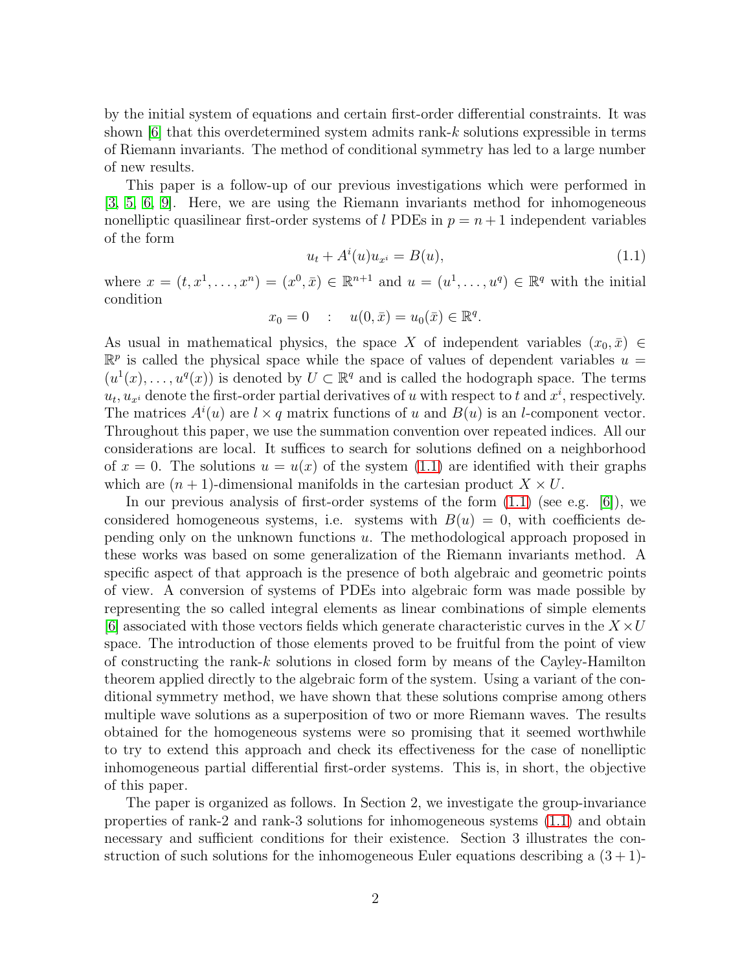by the initial system of equations and certain first-order differential constraints. It was shown [\[6\]](#page-18-5) that this overdetermined system admits rank-k solutions expressible in terms of Riemann invariants. The method of conditional symmetry has led to a large number of new results.

This paper is a follow-up of our previous investigations which were performed in [\[3,](#page-18-10) [5,](#page-18-4) [6,](#page-18-5) [9\]](#page-18-11). Here, we are using the Riemann invariants method for inhomogeneous nonelliptic quasilinear first-order systems of l PDEs in  $p = n + 1$  independent variables of the form

<span id="page-2-0"></span>
$$
u_t + A^i(u)u_{x^i} = B(u),
$$
\n(1.1)

where  $x = (t, x^1, ..., x^n) = (x^0, \bar{x}) \in \mathbb{R}^{n+1}$  and  $u = (u^1, ..., u^q) \in \mathbb{R}^q$  with the initial condition

$$
x_0 = 0
$$
 :  $u(0, \bar{x}) = u_0(\bar{x}) \in \mathbb{R}^q$ .

As usual in mathematical physics, the space X of independent variables  $(x_0, \bar{x}) \in$  $\mathbb{R}^p$  is called the physical space while the space of values of dependent variables  $u =$  $(u^1(x), \ldots, u^q(x))$  is denoted by  $U \subset \mathbb{R}^q$  and is called the hodograph space. The terms  $u_t, u_{x_i}$  denote the first-order partial derivatives of u with respect to t and  $x^i$ , respectively. The matrices  $A^{i}(u)$  are  $l \times q$  matrix functions of u and  $B(u)$  is an l-component vector. Throughout this paper, we use the summation convention over repeated indices. All our considerations are local. It suffices to search for solutions defined on a neighborhood of  $x = 0$ . The solutions  $u = u(x)$  of the system [\(1.1\)](#page-2-0) are identified with their graphs which are  $(n + 1)$ -dimensional manifolds in the cartesian product  $X \times U$ .

In our previous analysis of first-order systems of the form  $(1.1)$  (see e.g. [\[6\]](#page-18-5)), we considered homogeneous systems, i.e. systems with  $B(u) = 0$ , with coefficients depending only on the unknown functions u. The methodological approach proposed in these works was based on some generalization of the Riemann invariants method. A specific aspect of that approach is the presence of both algebraic and geometric points of view. A conversion of systems of PDEs into algebraic form was made possible by representing the so called integral elements as linear combinations of simple elements [\[6\]](#page-18-5) associated with those vectors fields which generate characteristic curves in the  $X \times U$ space. The introduction of those elements proved to be fruitful from the point of view of constructing the rank-k solutions in closed form by means of the Cayley-Hamilton theorem applied directly to the algebraic form of the system. Using a variant of the conditional symmetry method, we have shown that these solutions comprise among others multiple wave solutions as a superposition of two or more Riemann waves. The results obtained for the homogeneous systems were so promising that it seemed worthwhile to try to extend this approach and check its effectiveness for the case of nonelliptic inhomogeneous partial differential first-order systems. This is, in short, the objective of this paper.

The paper is organized as follows. In Section 2, we investigate the group-invariance properties of rank-2 and rank-3 solutions for inhomogeneous systems [\(1.1\)](#page-2-0) and obtain necessary and sufficient conditions for their existence. Section 3 illustrates the construction of such solutions for the inhomogeneous Euler equations describing a  $(3 + 1)$ -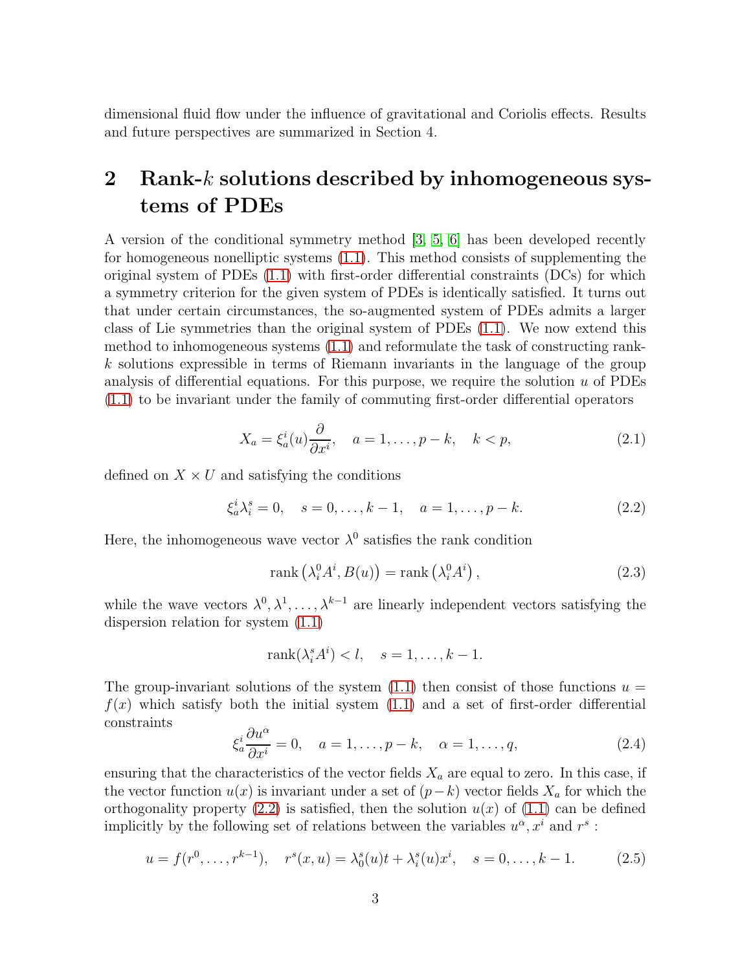dimensional fluid flow under the influence of gravitational and Coriolis effects. Results and future perspectives are summarized in Section 4.

# 2 Rank- $k$  solutions described by inhomogeneous systems of PDEs

A version of the conditional symmetry method [\[3,](#page-18-10) [5,](#page-18-4) [6\]](#page-18-5) has been developed recently for homogeneous nonelliptic systems [\(1.1\)](#page-2-0). This method consists of supplementing the original system of PDEs [\(1.1\)](#page-2-0) with first-order differential constraints (DCs) for which a symmetry criterion for the given system of PDEs is identically satisfied. It turns out that under certain circumstances, the so-augmented system of PDEs admits a larger class of Lie symmetries than the original system of PDEs [\(1.1\)](#page-2-0). We now extend this method to inhomogeneous systems [\(1.1\)](#page-2-0) and reformulate the task of constructing rankk solutions expressible in terms of Riemann invariants in the language of the group analysis of differential equations. For this purpose, we require the solution  $u$  of PDEs [\(1.1\)](#page-2-0) to be invariant under the family of commuting first-order differential operators

<span id="page-3-2"></span>
$$
X_a = \xi_a^i(u) \frac{\partial}{\partial x^i}, \quad a = 1, \dots, p - k, \quad k < p,\tag{2.1}
$$

defined on  $X \times U$  and satisfying the conditions

<span id="page-3-0"></span>
$$
\xi_a^i \lambda_i^s = 0, \quad s = 0, \dots, k - 1, \quad a = 1, \dots, p - k. \tag{2.2}
$$

Here, the inhomogeneous wave vector  $\lambda^0$  satisfies the rank condition

<span id="page-3-4"></span>
$$
rank\left(\lambda_i^0 A^i, B(u)\right) = rank\left(\lambda_i^0 A^i\right),\tag{2.3}
$$

while the wave vectors  $\lambda^0, \lambda^1, \ldots, \lambda^{k-1}$  are linearly independent vectors satisfying the dispersion relation for system [\(1.1\)](#page-2-0)

$$
rank(\lambda_i^s A^i) < l, \quad s = 1, \dots, k - 1.
$$

The group-invariant solutions of the system  $(1.1)$  then consist of those functions  $u =$  $f(x)$  which satisfy both the initial system  $(1.1)$  and a set of first-order differential constraints

<span id="page-3-3"></span>
$$
\xi_a^i \frac{\partial u^\alpha}{\partial x^i} = 0, \quad a = 1, \dots, p - k, \quad \alpha = 1, \dots, q,\tag{2.4}
$$

ensuring that the characteristics of the vector fields  $X_a$  are equal to zero. In this case, if the vector function  $u(x)$  is invariant under a set of  $(p-k)$  vector fields  $X_a$  for which the orthogonality property [\(2.2\)](#page-3-0) is satisfied, then the solution  $u(x)$  of [\(1.1\)](#page-2-0) can be defined implicitly by the following set of relations between the variables  $u^{\alpha}, x^{i}$  and  $r^{s}$ :

<span id="page-3-1"></span>
$$
u = f(r^{0}, \dots, r^{k-1}), \quad r^{s}(x, u) = \lambda_{0}^{s}(u)t + \lambda_{i}^{s}(u)x^{i}, \quad s = 0, \dots, k-1.
$$
 (2.5)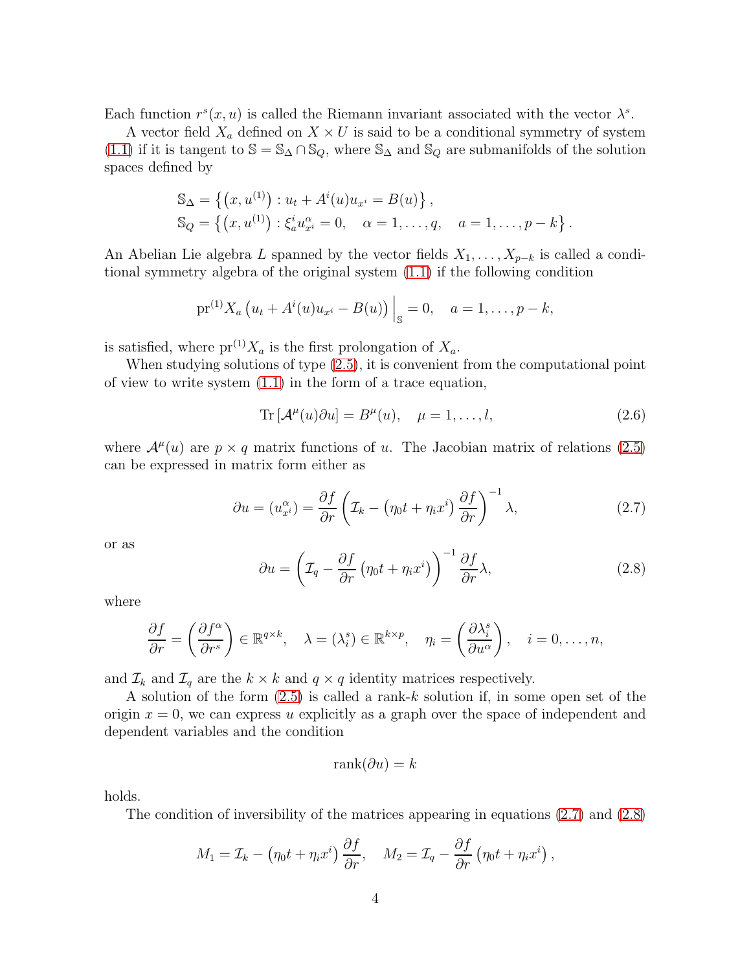Each function  $r^{s}(x, u)$  is called the Riemann invariant associated with the vector  $\lambda^{s}$ .

A vector field  $X_a$  defined on  $X \times U$  is said to be a conditional symmetry of system [\(1.1\)](#page-2-0) if it is tangent to  $\mathbb{S} = \mathbb{S}_{\Delta} \cap \mathbb{S}_{Q}$ , where  $\mathbb{S}_{\Delta}$  and  $\mathbb{S}_{Q}$  are submanifolds of the solution spaces defined by

$$
\mathbb{S}_{\Delta} = \left\{ (x, u^{(1)}) : u_t + A^i(u)u_{x^i} = B(u) \right\}, \n\mathbb{S}_{Q} = \left\{ (x, u^{(1)}) : \xi_a^i u_{x^i}^{\alpha} = 0, \quad \alpha = 1, \dots, q, \quad a = 1, \dots, p - k \right\}.
$$

An Abelian Lie algebra L spanned by the vector fields  $X_1, \ldots, X_{p-k}$  is called a conditional symmetry algebra of the original system [\(1.1\)](#page-2-0) if the following condition

$$
\mathrm{pr}^{(1)} X_a \left( u_t + A^i(u) u_{x^i} - B(u) \right) \Big|_{\mathbb{S}} = 0, \quad a = 1, \dots, p - k,
$$

is satisfied, where  $pr^{(1)}X_a$  is the first prolongation of  $X_a$ .

When studying solutions of type [\(2.5\)](#page-3-1), it is convenient from the computational point of view to write system [\(1.1\)](#page-2-0) in the form of a trace equation,

<span id="page-4-2"></span>
$$
\operatorname{Tr}\left[\mathcal{A}^{\mu}(u)\partial u\right] = B^{\mu}(u), \quad \mu = 1, \dots, l,
$$
\n(2.6)

where  $\mathcal{A}^{\mu}(u)$  are  $p \times q$  matrix functions of u. The Jacobian matrix of relations [\(2.5\)](#page-3-1) can be expressed in matrix form either as

<span id="page-4-0"></span>
$$
\partial u = (u_{x_i}^{\alpha}) = \frac{\partial f}{\partial r} \left( \mathcal{I}_k - \left( \eta_0 t + \eta_i x^i \right) \frac{\partial f}{\partial r} \right)^{-1} \lambda, \tag{2.7}
$$

or as

<span id="page-4-1"></span>
$$
\partial u = \left(\mathcal{I}_q - \frac{\partial f}{\partial r} \left(\eta_0 t + \eta_i x^i\right)\right)^{-1} \frac{\partial f}{\partial r} \lambda,\tag{2.8}
$$

where

$$
\frac{\partial f}{\partial r} = \left(\frac{\partial f^{\alpha}}{\partial r^{s}}\right) \in \mathbb{R}^{q \times k}, \quad \lambda = (\lambda_i^s) \in \mathbb{R}^{k \times p}, \quad \eta_i = \left(\frac{\partial \lambda_i^s}{\partial u^{\alpha}}\right), \quad i = 0, \dots, n,
$$

and  $\mathcal{I}_k$  and  $\mathcal{I}_q$  are the  $k \times k$  and  $q \times q$  identity matrices respectively.

A solution of the form [\(2.5\)](#page-3-1) is called a rank-k solution if, in some open set of the origin  $x = 0$ , we can express u explicitly as a graph over the space of independent and dependent variables and the condition

$$
rank(\partial u) = k
$$

holds.

The condition of inversibility of the matrices appearing in equations [\(2.7\)](#page-4-0) and [\(2.8\)](#page-4-1)

$$
M_1 = \mathcal{I}_k - \left(\eta_0 t + \eta_i x^i\right) \frac{\partial f}{\partial r}, \quad M_2 = \mathcal{I}_q - \frac{\partial f}{\partial r} \left(\eta_0 t + \eta_i x^i\right),
$$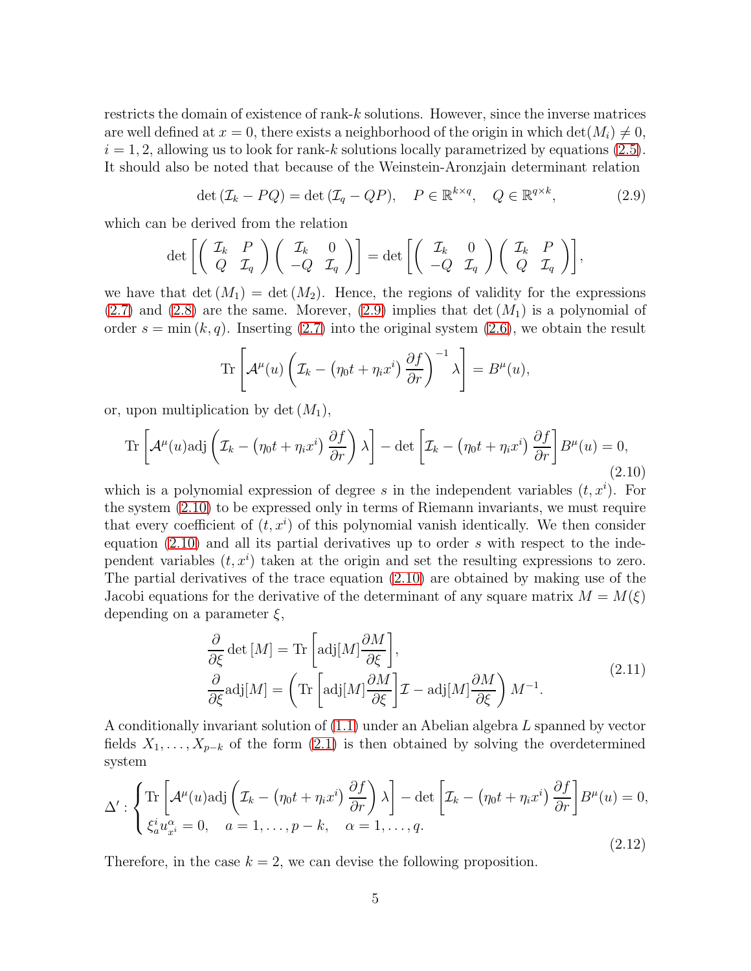restricts the domain of existence of rank-k solutions. However, since the inverse matrices are well defined at  $x = 0$ , there exists a neighborhood of the origin in which  $\det(M_i) \neq 0$ ,  $i = 1, 2$ , allowing us to look for rank-k solutions locally parametrized by equations [\(2.5\)](#page-3-1). It should also be noted that because of the Weinstein-Aronzjain determinant relation

<span id="page-5-0"></span>
$$
\det\left(\mathcal{I}_k - PQ\right) = \det\left(\mathcal{I}_q - QP\right), \quad P \in \mathbb{R}^{k \times q}, \quad Q \in \mathbb{R}^{q \times k}, \tag{2.9}
$$

which can be derived from the relation

$$
\det \left[ \left( \begin{array}{cc} \mathcal{I}_k & P \\ Q & \mathcal{I}_q \end{array} \right) \left( \begin{array}{cc} \mathcal{I}_k & 0 \\ -Q & \mathcal{I}_q \end{array} \right) \right] = \det \left[ \left( \begin{array}{cc} \mathcal{I}_k & 0 \\ -Q & \mathcal{I}_q \end{array} \right) \left( \begin{array}{cc} \mathcal{I}_k & P \\ Q & \mathcal{I}_q \end{array} \right) \right],
$$

we have that  $\det(M_1) = \det(M_2)$ . Hence, the regions of validity for the expressions  $(2.7)$  and  $(2.8)$  are the same. Morever,  $(2.9)$  implies that det  $(M_1)$  is a polynomial of order  $s = \min(k, q)$ . Inserting [\(2.7\)](#page-4-0) into the original system [\(2.6\)](#page-4-2), we obtain the result

$$
\operatorname{Tr}\left[\mathcal{A}^{\mu}(u)\left(\mathcal{I}_{k}-(\eta_{0}t+\eta_{i}x^{i})\frac{\partial f}{\partial r}\right)^{-1}\lambda\right]=B^{\mu}(u),
$$

or, upon multiplication by det  $(M_1)$ ,

<span id="page-5-1"></span>
$$
\operatorname{Tr}\left[\mathcal{A}^{\mu}(u)\operatorname{adj}\left(\mathcal{I}_{k}-(\eta_{0}t+\eta_{i}x^{i})\frac{\partial f}{\partial r}\right)\lambda\right]-\operatorname{det}\left[\mathcal{I}_{k}-(\eta_{0}t+\eta_{i}x^{i})\frac{\partial f}{\partial r}\right]B^{\mu}(u)=0,
$$
\n(2.10)

which is a polynomial expression of degree s in the independent variables  $(t, x<sup>i</sup>)$ . For the system [\(2.10\)](#page-5-1) to be expressed only in terms of Riemann invariants, we must require that every coefficient of  $(t, x<sup>i</sup>)$  of this polynomial vanish identically. We then consider equation  $(2.10)$  and all its partial derivatives up to order s with respect to the independent variables  $(t, x<sup>i</sup>)$  taken at the origin and set the resulting expressions to zero. The partial derivatives of the trace equation [\(2.10\)](#page-5-1) are obtained by making use of the Jacobi equations for the derivative of the determinant of any square matrix  $M = M(\xi)$ depending on a parameter  $\xi$ ,

$$
\frac{\partial}{\partial \xi} \det [M] = \text{Tr} \left[ \text{adj}[M] \frac{\partial M}{\partial \xi} \right],
$$
\n
$$
\frac{\partial}{\partial \xi} \text{adj}[M] = \left( \text{Tr} \left[ \text{adj}[M] \frac{\partial M}{\partial \xi} \right] \mathcal{I} - \text{adj}[M] \frac{\partial M}{\partial \xi} \right) M^{-1}.
$$
\n(2.11)

<span id="page-5-3"></span>A conditionally invariant solution of [\(1.1\)](#page-2-0) under an Abelian algebra L spanned by vector fields  $X_1, \ldots, X_{p-k}$  of the form  $(2.1)$  is then obtained by solving the overdetermined system

<span id="page-5-2"></span>
$$
\Delta' : \left\{ \begin{aligned} &\text{Tr}\left[\mathcal{A}^{\mu}(u)\text{adj}\left(\mathcal{I}_{k} - \left(\eta_{0}t + \eta_{i}x^{i}\right)\frac{\partial f}{\partial r}\right)\lambda\right] - \det\left[\mathcal{I}_{k} - \left(\eta_{0}t + \eta_{i}x^{i}\right)\frac{\partial f}{\partial r}\right]B^{\mu}(u) = 0, \\ &\xi_{a}^{i}u_{x^{i}}^{\alpha} = 0, \quad a = 1, \ldots, p - k, \quad \alpha = 1, \ldots, q. \end{aligned} \right. \tag{2.12}
$$

Therefore, in the case  $k = 2$ , we can devise the following proposition.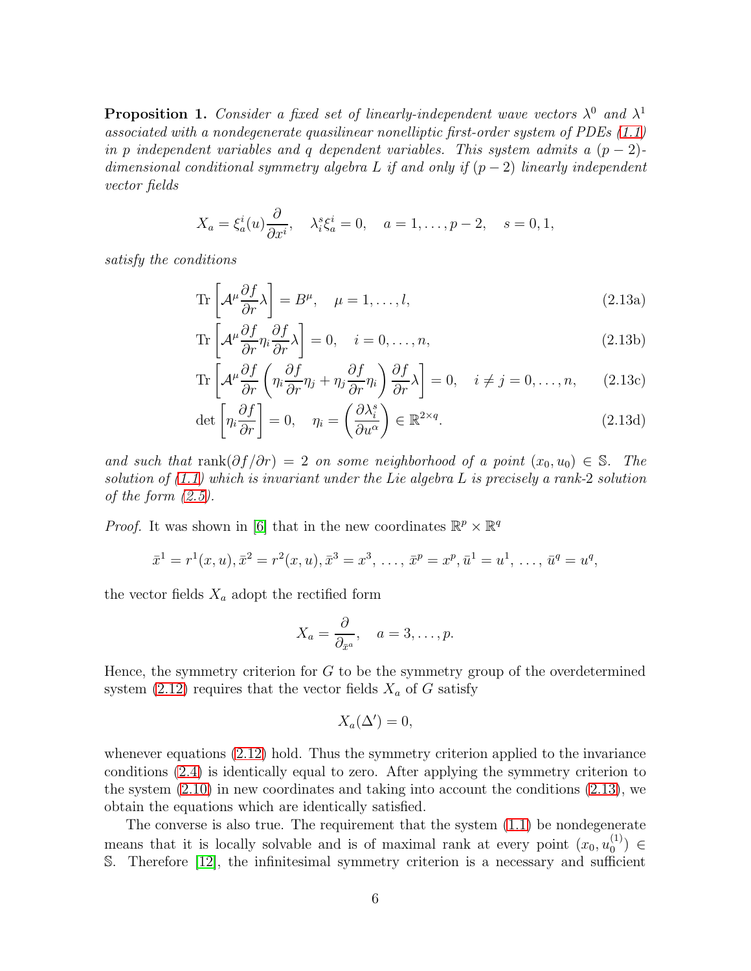**Proposition 1.** Consider a fixed set of linearly-independent wave vectors  $\lambda^0$  and  $\lambda^1$ associated with a nondegenerate quasilinear nonelliptic first-order system of PDEs  $(1.1)$ in p independent variables and q dependent variables. This system admits a  $(p-2)$ dimensional conditional symmetry algebra L if and only if  $(p-2)$  linearly independent vector fields

$$
X_a = \xi_a^i(u) \frac{\partial}{\partial x^i}, \quad \lambda_i^s \xi_a^i = 0, \quad a = 1, \dots, p-2, \quad s = 0, 1,
$$

satisfy the conditions

<span id="page-6-1"></span><span id="page-6-0"></span>
$$
\operatorname{Tr}\left[\mathcal{A}^{\mu}\frac{\partial f}{\partial r}\lambda\right] = B^{\mu}, \quad \mu = 1, \dots, l,
$$
\n(2.13a)

$$
\operatorname{Tr}\left[\mathcal{A}^{\mu}\frac{\partial f}{\partial r}\eta_{i}\frac{\partial f}{\partial r}\lambda\right] = 0, \quad i = 0, \dots, n,
$$
\n(2.13b)

$$
\operatorname{Tr}\left[\mathcal{A}^{\mu}\frac{\partial f}{\partial r}\left(\eta_i\frac{\partial f}{\partial r}\eta_j + \eta_j\frac{\partial f}{\partial r}\eta_i\right)\frac{\partial f}{\partial r}\lambda\right] = 0, \quad i \neq j = 0, \dots, n,
$$
 (2.13c)

$$
\det \left[ \eta_i \frac{\partial f}{\partial r} \right] = 0, \quad \eta_i = \left( \frac{\partial \lambda_i^s}{\partial u^{\alpha}} \right) \in \mathbb{R}^{2 \times q}.
$$
 (2.13d)

and such that rank $(\partial f/\partial r) = 2$  on some neighborhood of a point  $(x_0, u_0) \in \mathbb{S}$ . The solution of  $(1.1)$  which is invariant under the Lie algebra L is precisely a rank-2 solution of the form  $(2.5)$ .

*Proof.* It was shown in [\[6\]](#page-18-5) that in the new coordinates  $\mathbb{R}^p \times \mathbb{R}^q$ 

$$
\bar{x}^1 = r^1(x, u), \bar{x}^2 = r^2(x, u), \bar{x}^3 = x^3, \ldots, \bar{x}^p = x^p, \bar{u}^1 = u^1, \ldots, \bar{u}^q = u^q,
$$

the vector fields  $X_a$  adopt the rectified form

$$
X_a = \frac{\partial}{\partial_{\bar{x}^a}}, \quad a = 3, \dots, p.
$$

Hence, the symmetry criterion for  $G$  to be the symmetry group of the overdetermined system [\(2.12\)](#page-5-2) requires that the vector fields  $X_a$  of G satisfy

$$
X_a(\Delta')=0,
$$

whenever equations [\(2.12\)](#page-5-2) hold. Thus the symmetry criterion applied to the invariance conditions [\(2.4\)](#page-3-3) is identically equal to zero. After applying the symmetry criterion to the system  $(2.10)$  in new coordinates and taking into account the conditions  $(2.13)$ , we obtain the equations which are identically satisfied.

The converse is also true. The requirement that the system [\(1.1\)](#page-2-0) be nondegenerate means that it is locally solvable and is of maximal rank at every point  $(x_0, u_0^{(1)})$  $_{0}^{(1)}$ )  $\in$ S. Therefore [\[12\]](#page-18-12), the infinitesimal symmetry criterion is a necessary and sufficient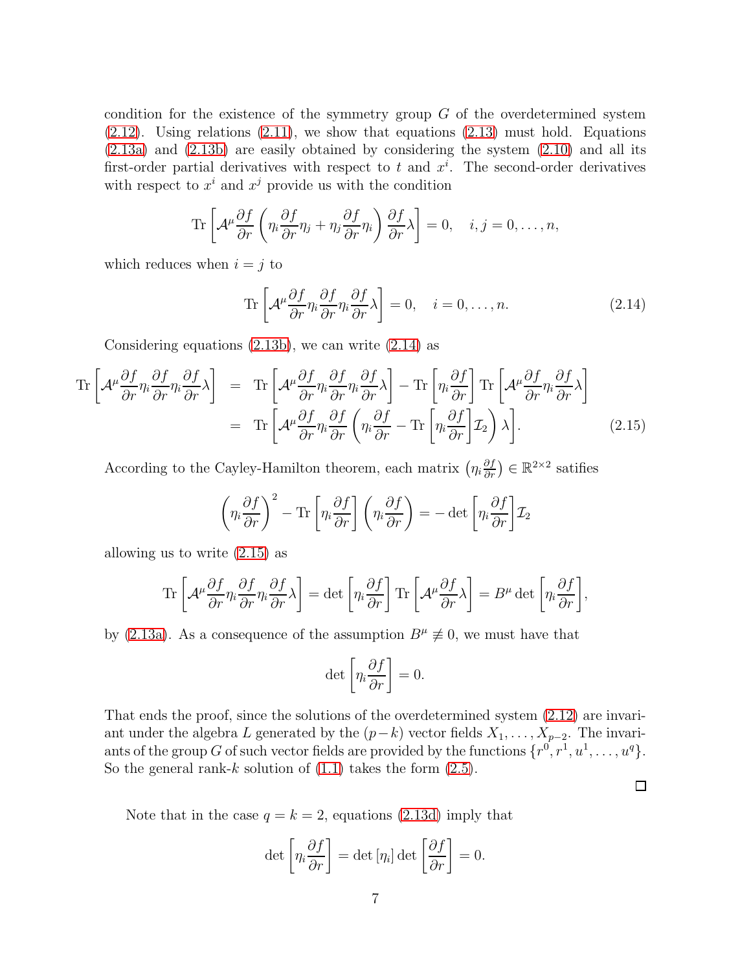condition for the existence of the symmetry group  $G$  of the overdetermined system  $(2.12)$ . Using relations  $(2.11)$ , we show that equations  $(2.13)$  must hold. Equations [\(2.13a\)](#page-6-1) and [\(2.13b\)](#page-6-1) are easily obtained by considering the system [\(2.10\)](#page-5-1) and all its first-order partial derivatives with respect to t and  $x<sup>i</sup>$ . The second-order derivatives with respect to  $x^i$  and  $x^j$  provide us with the condition

$$
\operatorname{Tr}\left[\mathcal{A}^{\mu}\frac{\partial f}{\partial r}\left(\eta_i\frac{\partial f}{\partial r}\eta_j+\eta_j\frac{\partial f}{\partial r}\eta_i\right)\frac{\partial f}{\partial r}\lambda\right]=0, \quad i,j=0,\ldots,n,
$$

which reduces when  $i = j$  to

<span id="page-7-0"></span>
$$
\operatorname{Tr}\left[\mathcal{A}^{\mu}\frac{\partial f}{\partial r}\eta_{i}\frac{\partial f}{\partial r}\eta_{i}\frac{\partial f}{\partial r}\lambda\right] = 0, \quad i = 0, \dots, n. \tag{2.14}
$$

<span id="page-7-1"></span>Considering equations [\(2.13b\)](#page-6-1), we can write [\(2.14\)](#page-7-0) as

$$
\begin{split}\n\operatorname{Tr}\left[\mathcal{A}^{\mu}\frac{\partial f}{\partial r}\eta_{i}\frac{\partial f}{\partial r}\eta_{i}\frac{\partial f}{\partial r}\lambda\right] &= \operatorname{Tr}\left[\mathcal{A}^{\mu}\frac{\partial f}{\partial r}\eta_{i}\frac{\partial f}{\partial r}\eta_{i}\frac{\partial f}{\partial r}\lambda\right] - \operatorname{Tr}\left[\eta_{i}\frac{\partial f}{\partial r}\right]\operatorname{Tr}\left[\mathcal{A}^{\mu}\frac{\partial f}{\partial r}\eta_{i}\frac{\partial f}{\partial r}\lambda\right] \\
&= \operatorname{Tr}\left[\mathcal{A}^{\mu}\frac{\partial f}{\partial r}\eta_{i}\frac{\partial f}{\partial r}\left(\eta_{i}\frac{\partial f}{\partial r} - \operatorname{Tr}\left[\eta_{i}\frac{\partial f}{\partial r}\right] \mathcal{I}_{2}\right)\lambda\right].\n\end{split} \tag{2.15}
$$

According to the Cayley-Hamilton theorem, each matrix  $(\eta_i \frac{\partial f}{\partial r}) \in \mathbb{R}^{2 \times 2}$  satifies

$$
\left(\eta_i \frac{\partial f}{\partial r}\right)^2 - \text{Tr}\left[\eta_i \frac{\partial f}{\partial r}\right] \left(\eta_i \frac{\partial f}{\partial r}\right) = -\det \left[\eta_i \frac{\partial f}{\partial r}\right] \mathcal{I}_2
$$

allowing us to write [\(2.15\)](#page-7-1) as

$$
\operatorname{Tr}\left[\mathcal{A}^{\mu}\frac{\partial f}{\partial r}\eta_{i}\frac{\partial f}{\partial r}\eta_{i}\frac{\partial f}{\partial r}\lambda\right] = \det\left[\eta_{i}\frac{\partial f}{\partial r}\right]\operatorname{Tr}\left[\mathcal{A}^{\mu}\frac{\partial f}{\partial r}\lambda\right] = B^{\mu}\det\left[\eta_{i}\frac{\partial f}{\partial r}\right],
$$

by [\(2.13a\)](#page-6-1). As a consequence of the assumption  $B^{\mu} \not\equiv 0$ , we must have that

$$
\det \left[ \eta_i \frac{\partial f}{\partial r} \right] = 0.
$$

That ends the proof, since the solutions of the overdetermined system [\(2.12\)](#page-5-2) are invariant under the algebra L generated by the  $(p-k)$  vector fields  $X_1, \ldots, X_{p-2}$ . The invariants of the group G of such vector fields are provided by the functions  $\{r^0, r^1, u^1, \ldots, u^q\}.$ So the general rank-k solution of  $(1.1)$  takes the form  $(2.5)$ .

 $\Box$ 

Note that in the case  $q = k = 2$ , equations [\(2.13d\)](#page-6-1) imply that

$$
\det\left[\eta_i \frac{\partial f}{\partial r}\right] = \det\left[\eta_i\right] \det\left[\frac{\partial f}{\partial r}\right] = 0.
$$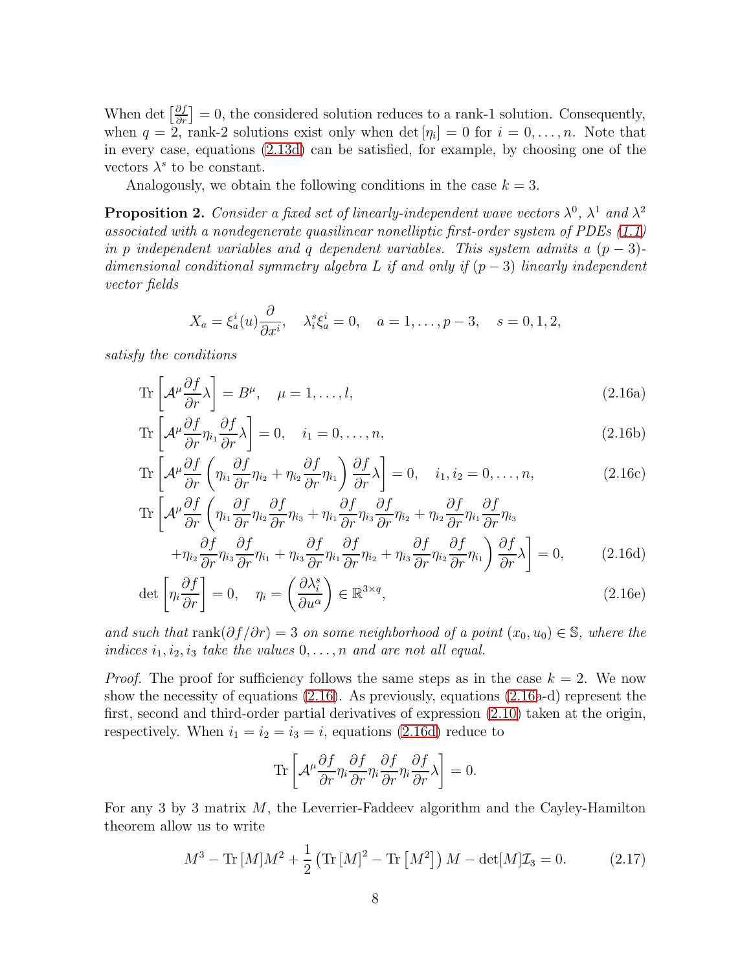When det  $\left[\frac{\partial f}{\partial r}\right] = 0$ , the considered solution reduces to a rank-1 solution. Consequently, when  $q = 2$ , rank-2 solutions exist only when  $\det[\eta_i] = 0$  for  $i = 0, \ldots, n$ . Note that in every case, equations [\(2.13d\)](#page-6-1) can be satisfied, for example, by choosing one of the vectors  $\lambda^s$  to be constant.

Analogously, we obtain the following conditions in the case  $k = 3$ .

**Proposition 2.** Consider a fixed set of linearly-independent wave vectors  $\lambda^0$ ,  $\lambda^1$  and  $\lambda^2$ associated with a nondegenerate quasilinear nonelliptic first-order system of PDEs [\(1.1\)](#page-2-0) in p independent variables and q dependent variables. This system admits a  $(p-3)$ dimensional conditional symmetry algebra L if and only if  $(p-3)$  linearly independent vector fields

<span id="page-8-0"></span>
$$
X_a = \xi_a^i(u)\frac{\partial}{\partial x^i}, \quad \lambda_i^s \xi_a^i = 0, \quad a = 1, \dots, p-3, \quad s = 0, 1, 2,
$$

satisfy the conditions

<span id="page-8-1"></span>
$$
\operatorname{Tr}\left[\mathcal{A}^{\mu}\frac{\partial f}{\partial r}\lambda\right] = B^{\mu}, \quad \mu = 1, \dots, l,
$$
\n(2.16a)

$$
\operatorname{Tr}\left[\mathcal{A}^{\mu}\frac{\partial f}{\partial r}\eta_{i_{1}}\frac{\partial f}{\partial r}\lambda\right] = 0, \quad i_{1} = 0, \dots, n,
$$
\n(2.16b)

$$
\operatorname{Tr}\left[\mathcal{A}^{\mu}\frac{\partial f}{\partial r}\left(\eta_{i_1}\frac{\partial f}{\partial r}\eta_{i_2} + \eta_{i_2}\frac{\partial f}{\partial r}\eta_{i_1}\right)\frac{\partial f}{\partial r}\lambda\right] = 0, \quad i_1, i_2 = 0, \dots, n,
$$
\n(2.16c)

$$
\operatorname{Tr}\left[\mathcal{A}^{\mu}\frac{\partial f}{\partial r}\left(\eta_{i_{1}}\frac{\partial f}{\partial r}\eta_{i_{2}}\frac{\partial f}{\partial r}\eta_{i_{3}} + \eta_{i_{1}}\frac{\partial f}{\partial r}\eta_{i_{3}}\frac{\partial f}{\partial r}\eta_{i_{2}} + \eta_{i_{2}}\frac{\partial f}{\partial r}\eta_{i_{1}}\frac{\partial f}{\partial r}\eta_{i_{3}}\right] + \eta_{i_{2}}\frac{\partial f}{\partial r}\eta_{i_{3}}\frac{\partial f}{\partial r}\eta_{i_{1}} + \eta_{i_{3}}\frac{\partial f}{\partial r}\eta_{i_{1}}\frac{\partial f}{\partial r}\eta_{i_{2}} + \eta_{i_{3}}\frac{\partial f}{\partial r}\eta_{i_{2}}\frac{\partial f}{\partial r}\eta_{i_{1}}\right)\frac{\partial f}{\partial r}\lambda\right] = 0,
$$
\n(2.16d)

$$
\det \left[ \eta_i \frac{\partial f}{\partial r} \right] = 0, \quad \eta_i = \left( \frac{\partial \lambda_i^s}{\partial u^\alpha} \right) \in \mathbb{R}^{3 \times q}, \tag{2.16e}
$$

and such that rank $(\partial f/\partial r) = 3$  on some neighborhood of a point  $(x_0, u_0) \in \mathbb{S}$ , where the indices  $i_1, i_2, i_3$  take the values  $0, \ldots, n$  and are not all equal.

*Proof.* The proof for sufficiency follows the same steps as in the case  $k = 2$ . We now show the necessity of equations [\(2.16\)](#page-8-0). As previously, equations [\(2.16a](#page-8-0)-d) represent the first, second and third-order partial derivatives of expression [\(2.10\)](#page-5-1) taken at the origin, respectively. When  $i_1 = i_2 = i_3 = i$ , equations [\(2.16d\)](#page-8-1) reduce to

$$
\operatorname{Tr}\left[\mathcal{A}^{\mu}\frac{\partial f}{\partial r}\eta_{i}\frac{\partial f}{\partial r}\eta_{i}\frac{\partial f}{\partial r}\eta_{i}\frac{\partial f}{\partial r}\lambda\right]=0.
$$

For any 3 by 3 matrix  $M$ , the Leverrier-Faddeev algorithm and the Cayley-Hamilton theorem allow us to write

<span id="page-8-2"></span>
$$
M^{3} - \text{Tr}[M]M^{2} + \frac{1}{2} (\text{Tr}[M]^{2} - \text{Tr}[M^{2}]) M - \det[M]\mathcal{I}_{3} = 0.
$$
 (2.17)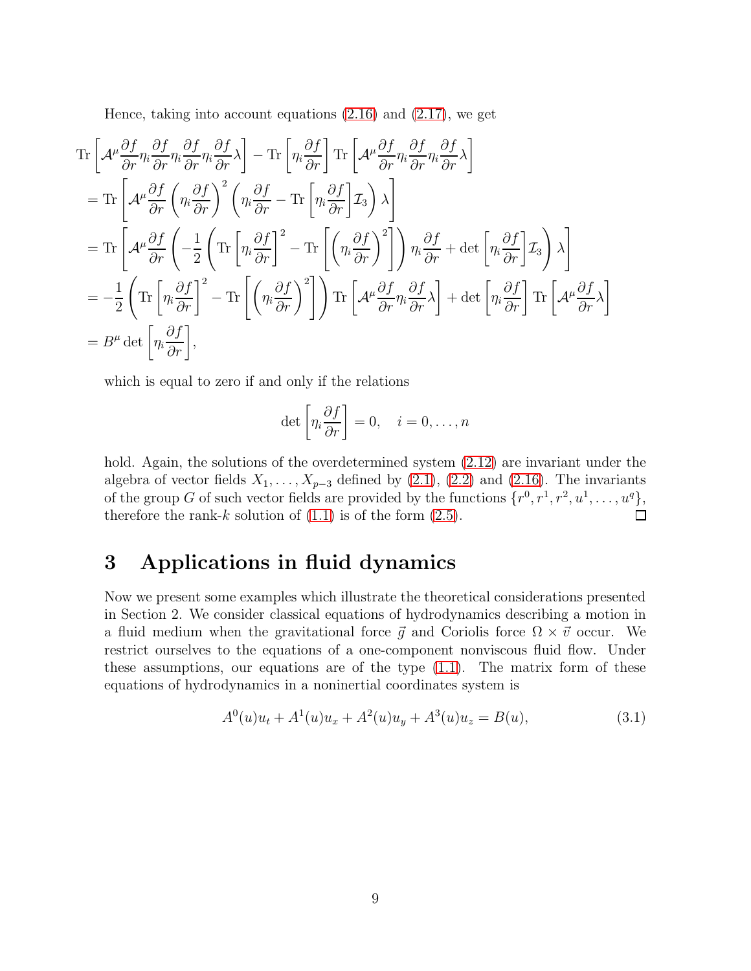Hence, taking into account equations [\(2.16\)](#page-8-0) and [\(2.17\)](#page-8-2), we get

$$
\begin{split}\n&\text{Tr}\left[\mathcal{A}^{\mu}\frac{\partial f}{\partial r}\eta_{i}\frac{\partial f}{\partial r}\eta_{i}\frac{\partial f}{\partial r}\eta_{i}\frac{\partial f}{\partial r}\lambda\right]-\text{Tr}\left[\eta_{i}\frac{\partial f}{\partial r}\right]\text{Tr}\left[\mathcal{A}^{\mu}\frac{\partial f}{\partial r}\eta_{i}\frac{\partial f}{\partial r}\eta_{i}\frac{\partial f}{\partial r}\lambda\right] \\
&=\text{Tr}\left[\mathcal{A}^{\mu}\frac{\partial f}{\partial r}\left(\eta_{i}\frac{\partial f}{\partial r}\right)^{2}\left(\eta_{i}\frac{\partial f}{\partial r}-\text{Tr}\left[\eta_{i}\frac{\partial f}{\partial r}\right]Z_{3}\right)\lambda\right] \\
&=\text{Tr}\left[\mathcal{A}^{\mu}\frac{\partial f}{\partial r}\left(-\frac{1}{2}\left(\text{Tr}\left[\eta_{i}\frac{\partial f}{\partial r}\right]^{2}-\text{Tr}\left[\left(\eta_{i}\frac{\partial f}{\partial r}\right)^{2}\right]\right)\eta_{i}\frac{\partial f}{\partial r}+\det\left[\eta_{i}\frac{\partial f}{\partial r}\right]Z_{3}\right)\lambda\right] \\
&=-\frac{1}{2}\left(\text{Tr}\left[\eta_{i}\frac{\partial f}{\partial r}\right]^{2}-\text{Tr}\left[\left(\eta_{i}\frac{\partial f}{\partial r}\right)^{2}\right]\right)\text{Tr}\left[\mathcal{A}^{\mu}\frac{\partial f}{\partial r}\eta_{i}\frac{\partial f}{\partial r}\lambda\right]+\det\left[\eta_{i}\frac{\partial f}{\partial r}\right]\text{Tr}\left[\mathcal{A}^{\mu}\frac{\partial f}{\partial r}\lambda\right] \\
&=B^{\mu}\det\left[\eta_{i}\frac{\partial f}{\partial r}\right],\n\end{split}
$$

which is equal to zero if and only if the relations

$$
\det \left[ \eta_i \frac{\partial f}{\partial r} \right] = 0, \quad i = 0, \dots, n
$$

hold. Again, the solutions of the overdetermined system  $(2.12)$  are invariant under the algebra of vector fields  $X_1, \ldots, X_{p-3}$  defined by [\(2.1\)](#page-3-2), [\(2.2\)](#page-3-0) and [\(2.16\)](#page-8-0). The invariants of the group G of such vector fields are provided by the functions  $\{r^0, r^1, r^2, u^1, \ldots, u^q\}$ , therefore the rank-k solution of  $(1.1)$  is of the form  $(2.5)$ .

# 3 Applications in fluid dynamics

Now we present some examples which illustrate the theoretical considerations presented in Section 2. We consider classical equations of hydrodynamics describing a motion in a fluid medium when the gravitational force  $\vec{g}$  and Coriolis force  $\Omega \times \vec{v}$  occur. We restrict ourselves to the equations of a one-component nonviscous fluid flow. Under these assumptions, our equations are of the type [\(1.1\)](#page-2-0). The matrix form of these equations of hydrodynamics in a noninertial coordinates system is

<span id="page-9-0"></span>
$$
A^{0}(u)u_{t} + A^{1}(u)u_{x} + A^{2}(u)u_{y} + A^{3}(u)u_{z} = B(u),
$$
\n(3.1)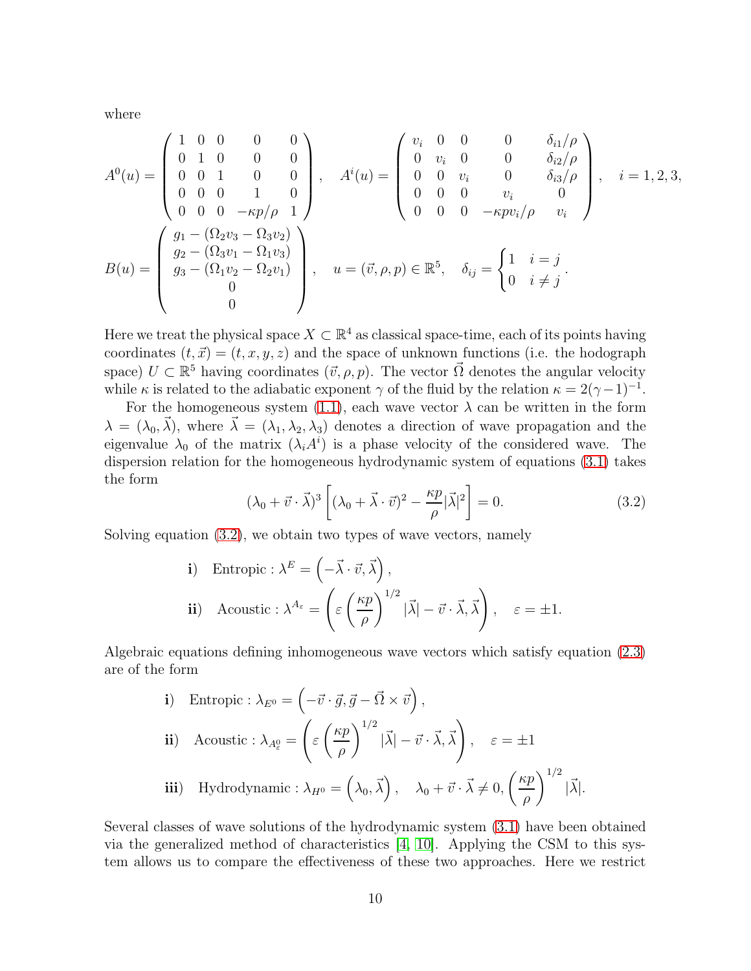where

$$
A^{0}(u) = \begin{pmatrix} 1 & 0 & 0 & 0 & 0 \\ 0 & 1 & 0 & 0 & 0 \\ 0 & 0 & 1 & 0 & 0 \\ 0 & 0 & 0 & 1 & 0 \\ 0 & 0 & 0 & -\kappa p/\rho & 1 \end{pmatrix}, \quad A^{i}(u) = \begin{pmatrix} v_{i} & 0 & 0 & 0 & \delta_{i1}/\rho \\ 0 & v_{i} & 0 & 0 & \delta_{i2}/\rho \\ 0 & 0 & v_{i} & 0 & \delta_{i3}/\rho \\ 0 & 0 & 0 & v_{i} & 0 \\ 0 & 0 & 0 & -\kappa p v_{i}/\rho & v_{i} \end{pmatrix}, \quad i = 1, 2, 3,
$$
  

$$
B(u) = \begin{pmatrix} g_{1} - (\Omega_{2}v_{3} - \Omega_{3}v_{2}) \\ g_{2} - (\Omega_{3}v_{1} - \Omega_{1}v_{3}) \\ g_{3} - (\Omega_{1}v_{2} - \Omega_{2}v_{1}) \\ 0 \end{pmatrix}, \quad u = (\vec{v}, \rho, p) \in \mathbb{R}^{5}, \quad \delta_{ij} = \begin{cases} 1 & i = j \\ 0 & i \neq j \\ 0 & i \neq j \end{cases}.
$$

Here we treat the physical space  $X \subset \mathbb{R}^4$  as classical space-time, each of its points having coordinates  $(t, \vec{x}) = (t, x, y, z)$  and the space of unknown functions (i.e. the hodograph space)  $U \subset \mathbb{R}^5$  having coordinates  $(\vec{v}, \rho, p)$ . The vector  $\vec{\Omega}$  denotes the angular velocity while  $\kappa$  is related to the adiabatic exponent  $\gamma$  of the fluid by the relation  $\kappa = 2(\gamma - 1)^{-1}$ .

For the homogeneous system [\(1.1\)](#page-2-0), each wave vector  $\lambda$  can be written in the form  $\lambda = (\lambda_0, \vec{\lambda})$ , where  $\vec{\lambda} = (\lambda_1, \lambda_2, \lambda_3)$  denotes a direction of wave propagation and the eigenvalue  $\lambda_0$  of the matrix  $(\lambda_i A^i)$  is a phase velocity of the considered wave. The dispersion relation for the homogeneous hydrodynamic system of equations [\(3.1\)](#page-9-0) takes the form

<span id="page-10-0"></span>
$$
(\lambda_0 + \vec{v} \cdot \vec{\lambda})^3 \left[ (\lambda_0 + \vec{\lambda} \cdot \vec{v})^2 - \frac{\kappa p}{\rho} |\vec{\lambda}|^2 \right] = 0.
$$
 (3.2)

Solving equation [\(3.2\)](#page-10-0), we obtain two types of wave vectors, namely

i) Entropic: 
$$
\lambda^E = \left(-\vec{\lambda} \cdot \vec{v}, \vec{\lambda}\right)
$$
,  
ii) Acoustic:  $\lambda^{A_{\varepsilon}} = \left(\varepsilon \left(\frac{\kappa p}{\rho}\right)^{1/2} |\vec{\lambda}| - \vec{v} \cdot \vec{\lambda}, \vec{\lambda}\right)$ ,  $\varepsilon = \pm 1$ .

Algebraic equations defining inhomogeneous wave vectors which satisfy equation [\(2.3\)](#page-3-4) are of the form

\n- i) Entropic: 
$$
\lambda_{E^0} = \left( -\vec{v} \cdot \vec{g}, \vec{g} - \vec{\Omega} \times \vec{v} \right),
$$
\n- ii) Acoustic:  $\lambda_{A^0_{\epsilon}} = \left( \varepsilon \left( \frac{\kappa p}{\rho} \right)^{1/2} |\vec{\lambda}| - \vec{v} \cdot \vec{\lambda}, \vec{\lambda} \right), \quad \varepsilon = \pm 1$
\n- iii) Hydrodynamic:  $\lambda_{H^0} = \left( \lambda_0, \vec{\lambda} \right), \quad \lambda_0 + \vec{v} \cdot \vec{\lambda} \neq 0, \left( \frac{\kappa p}{\rho} \right)^{1/2} |\vec{\lambda}|.$
\n

Several classes of wave solutions of the hydrodynamic system [\(3.1\)](#page-9-0) have been obtained via the generalized method of characteristics [\[4,](#page-18-13) [10\]](#page-18-14). Applying the CSM to this system allows us to compare the effectiveness of these two approaches. Here we restrict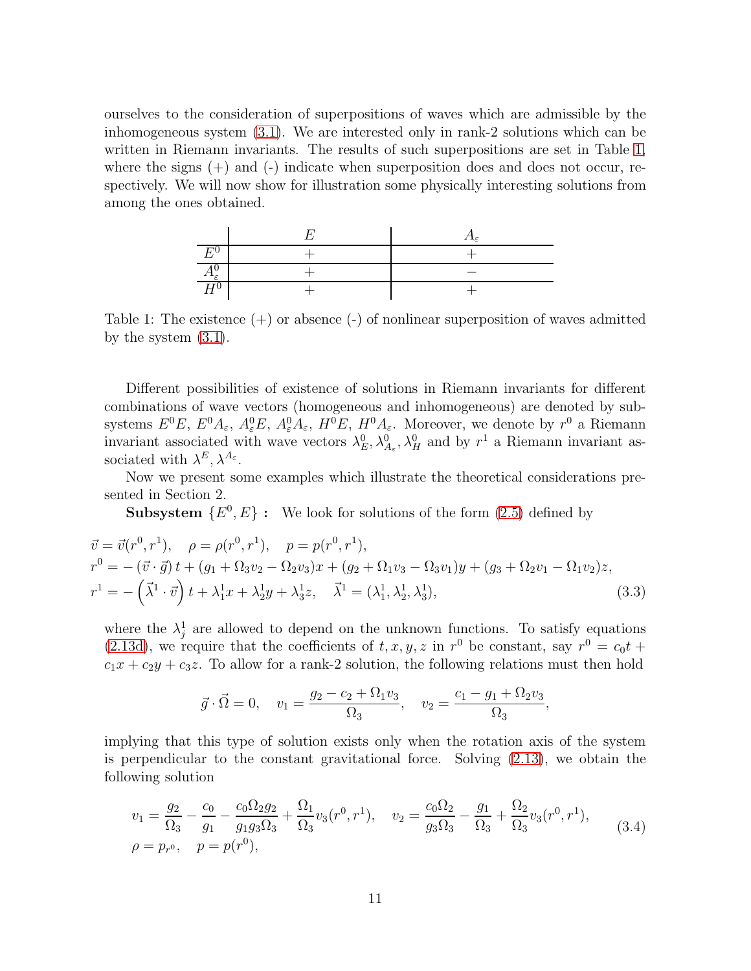ourselves to the consideration of superpositions of waves which are admissible by the inhomogeneous system [\(3.1\)](#page-9-0). We are interested only in rank-2 solutions which can be written in Riemann invariants. The results of such superpositions are set in Table [1,](#page-11-0) where the signs  $(+)$  and  $(-)$  indicate when superposition does and does not occur, respectively. We will now show for illustration some physically interesting solutions from among the ones obtained.



<span id="page-11-0"></span>Table 1: The existence  $(+)$  or absence  $(-)$  of nonlinear superposition of waves admitted by the system [\(3.1\)](#page-9-0).

Different possibilities of existence of solutions in Riemann invariants for different combinations of wave vectors (homogeneous and inhomogeneous) are denoted by subsystems  $E^0E$ ,  $E^0A_\varepsilon$ ,  $A_\varepsilon^0E$ ,  $A_\varepsilon^0A_\varepsilon$ ,  $H^0E$ ,  $H^0A_\varepsilon$ . Moreover, we denote by  $r^0$  a Riemann invariant associated with wave vectors  $\lambda_E^0$ ,  $\lambda_{A_\varepsilon}^0$ ,  $\lambda_H^0$  and by  $r^1$  a Riemann invariant associated with  $\lambda^E, \lambda^{A_{\varepsilon}}$ .

Now we present some examples which illustrate the theoretical considerations presented in Section 2.

**Subsystem**  $\{E^0, E\}$ : We look for solutions of the form  $(2.5)$  defined by

$$
\vec{v} = \vec{v}(r^0, r^1), \quad \rho = \rho(r^0, r^1), \quad p = p(r^0, r^1), \nr^0 = -(\vec{v} \cdot \vec{g})t + (g_1 + \Omega_3 v_2 - \Omega_2 v_3)x + (g_2 + \Omega_1 v_3 - \Omega_3 v_1)y + (g_3 + \Omega_2 v_1 - \Omega_1 v_2)z, \nr^1 = -(\vec{\lambda}^1 \cdot \vec{v})t + \lambda_1^1 x + \lambda_2^1 y + \lambda_3^1 z, \quad \vec{\lambda}^1 = (\lambda_1^1, \lambda_2^1, \lambda_3^1),
$$
\n(3.3)

where the  $\lambda_j^1$  are allowed to depend on the unknown functions. To satisfy equations [\(2.13d\)](#page-6-1), we require that the coefficients of  $t, x, y, z$  in  $r^0$  be constant, say  $r^0 = c_0 t +$  $c_1x + c_2y + c_3z$ . To allow for a rank-2 solution, the following relations must then hold

$$
\vec{g} \cdot \vec{\Omega} = 0
$$
,  $v_1 = \frac{g_2 - c_2 + \Omega_1 v_3}{\Omega_3}$ ,  $v_2 = \frac{c_1 - g_1 + \Omega_2 v_3}{\Omega_3}$ ,

implying that this type of solution exists only when the rotation axis of the system is perpendicular to the constant gravitational force. Solving [\(2.13\)](#page-6-0), we obtain the following solution

<span id="page-11-1"></span>
$$
v_1 = \frac{g_2}{\Omega_3} - \frac{c_0}{g_1} - \frac{c_0 \Omega_2 g_2}{g_1 g_3 \Omega_3} + \frac{\Omega_1}{\Omega_3} v_3(r^0, r^1), \quad v_2 = \frac{c_0 \Omega_2}{g_3 \Omega_3} - \frac{g_1}{\Omega_3} + \frac{\Omega_2}{\Omega_3} v_3(r^0, r^1),
$$
  
\n
$$
\rho = p_{r^0}, \quad p = p(r^0), \tag{3.4}
$$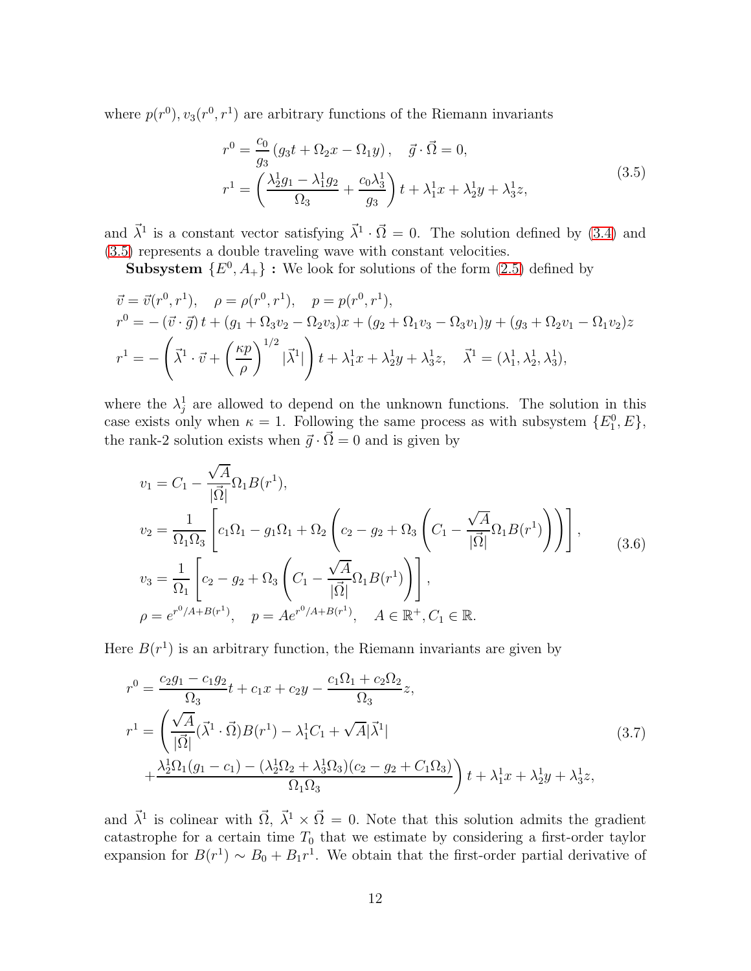<span id="page-12-0"></span>where  $p(r^0)$ ,  $v_3(r^0, r^1)$  are arbitrary functions of the Riemann invariants

$$
r^{0} = \frac{c_{0}}{g_{3}}(g_{3}t + \Omega_{2}x - \Omega_{1}y), \quad \vec{g} \cdot \vec{\Omega} = 0,
$$
  

$$
r^{1} = \left(\frac{\lambda_{2}^{1}g_{1} - \lambda_{1}^{1}g_{2}}{\Omega_{3}} + \frac{c_{0}\lambda_{3}^{1}}{g_{3}}\right)t + \lambda_{1}^{1}x + \lambda_{2}^{1}y + \lambda_{3}^{1}z,
$$
\n(3.5)

and  $\vec{\lambda}^1$  is a constant vector satisfying  $\vec{\lambda}^1 \cdot \vec{\Omega} = 0$ . The solution defined by [\(3.4\)](#page-11-1) and [\(3.5\)](#page-12-0) represents a double traveling wave with constant velocities.

**Subsystem**  $\{E^0, A_+\}$ : We look for solutions of the form  $(2.5)$  defined by

$$
\vec{v} = \vec{v}(r^0, r^1), \quad \rho = \rho(r^0, r^1), \quad p = p(r^0, r^1), \nr^0 = -(\vec{v} \cdot \vec{g})t + (g_1 + \Omega_3 v_2 - \Omega_2 v_3)x + (g_2 + \Omega_1 v_3 - \Omega_3 v_1)y + (g_3 + \Omega_2 v_1 - \Omega_1 v_2)z \nr^1 = -\left(\vec{\lambda}^1 \cdot \vec{v} + \left(\frac{\kappa p}{\rho}\right)^{1/2} |\vec{\lambda}^1|\right)t + \lambda_1^1 x + \lambda_2^1 y + \lambda_3^1 z, \quad \vec{\lambda}^1 = (\lambda_1^1, \lambda_2^1, \lambda_3^1),
$$

where the  $\lambda_j^1$  are allowed to depend on the unknown functions. The solution in this case exists only when  $\kappa = 1$ . Following the same process as with subsystem  $\{E_1^0, E\}$ , the rank-2 solution exists when  $\vec{g} \cdot \vec{\Omega} = 0$  and is given by

<span id="page-12-2"></span>
$$
v_1 = C_1 - \frac{\sqrt{A}}{|\vec{\Omega}|} \Omega_1 B(r^1),
$$
  
\n
$$
v_2 = \frac{1}{\Omega_1 \Omega_3} \left[ c_1 \Omega_1 - g_1 \Omega_1 + \Omega_2 \left( c_2 - g_2 + \Omega_3 \left( C_1 - \frac{\sqrt{A}}{|\vec{\Omega}|} \Omega_1 B(r^1) \right) \right) \right],
$$
  
\n
$$
v_3 = \frac{1}{\Omega_1} \left[ c_2 - g_2 + \Omega_3 \left( C_1 - \frac{\sqrt{A}}{|\vec{\Omega}|} \Omega_1 B(r^1) \right) \right],
$$
  
\n
$$
\rho = e^{r^0/A + B(r^1)}, \quad p = Ae^{r^0/A + B(r^1)}, \quad A \in \mathbb{R}^+, C_1 \in \mathbb{R}.
$$
  
\n(3.6)

Here  $B(r<sup>1</sup>)$  is an arbitrary function, the Riemann invariants are given by

<span id="page-12-1"></span>
$$
r^{0} = \frac{c_{2}g_{1} - c_{1}g_{2}}{\Omega_{3}}t + c_{1}x + c_{2}y - \frac{c_{1}\Omega_{1} + c_{2}\Omega_{2}}{\Omega_{3}}z,
$$
  
\n
$$
r^{1} = \left(\frac{\sqrt{A}}{|\vec{\Omega}|}(\vec{\lambda}^{1} \cdot \vec{\Omega})B(r^{1}) - \lambda_{1}^{1}C_{1} + \sqrt{A}|\vec{\lambda}^{1}| + \frac{\lambda_{2}^{1}\Omega_{1}(g_{1} - c_{1}) - (\lambda_{2}^{1}\Omega_{2} + \lambda_{3}^{1}\Omega_{3})(c_{2} - g_{2} + C_{1}\Omega_{3})}{\Omega_{1}\Omega_{3}}\right)t + \lambda_{1}^{1}x + \lambda_{2}^{1}y + \lambda_{3}^{1}z,
$$
\n(3.7)

and  $\vec{\lambda}^1$  is colinear with  $\vec{\Omega}$ ,  $\vec{\lambda}^1 \times \vec{\Omega} = 0$ . Note that this solution admits the gradient catastrophe for a certain time  $T_0$  that we estimate by considering a first-order taylor expansion for  $B(r^1) \sim B_0 + B_1 r^1$ . We obtain that the first-order partial derivative of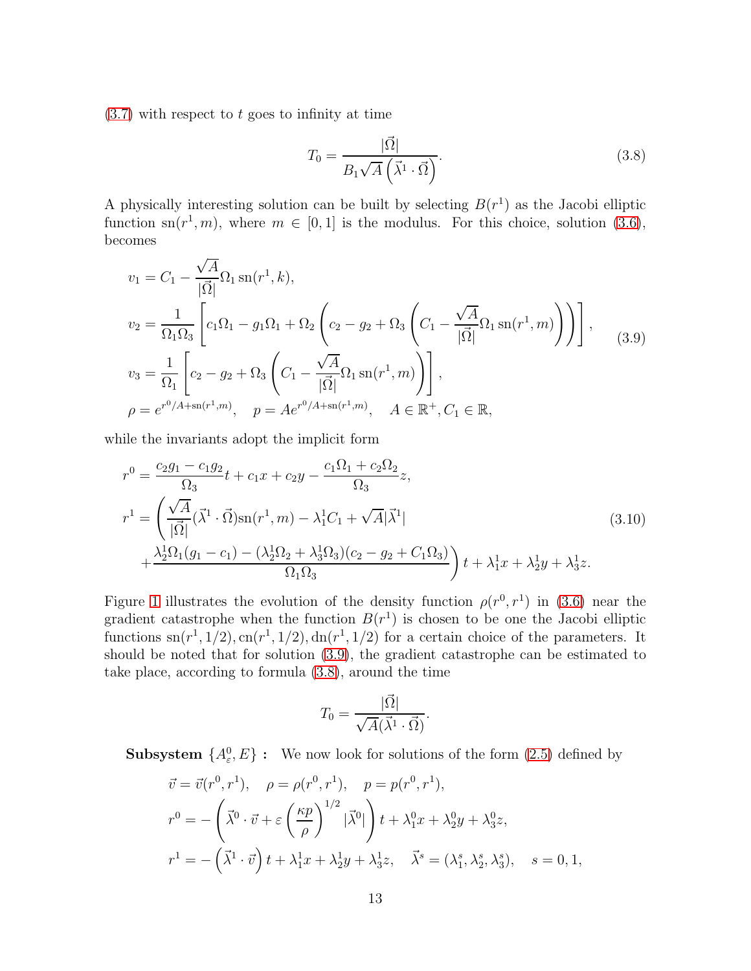$(3.7)$  with respect to t goes to infinity at time

<span id="page-13-1"></span>
$$
T_0 = \frac{|\vec{\Omega}|}{B_1 \sqrt{A} \left(\vec{\lambda}^1 \cdot \vec{\Omega}\right)}.\tag{3.8}
$$

A physically interesting solution can be built by selecting  $B(r^1)$  as the Jacobi elliptic function sn( $r^1$ ,  $m$ ), where  $m \in [0, 1]$  is the modulus. For this choice, solution [\(3.6\)](#page-12-2), becomes

<span id="page-13-0"></span>
$$
v_1 = C_1 - \frac{\sqrt{A}}{|\vec{\Omega}|} \Omega_1 \operatorname{sn}(r^1, k),
$$
  
\n
$$
v_2 = \frac{1}{\Omega_1 \Omega_3} \left[ c_1 \Omega_1 - g_1 \Omega_1 + \Omega_2 \left( c_2 - g_2 + \Omega_3 \left( C_1 - \frac{\sqrt{A}}{|\vec{\Omega}|} \Omega_1 \operatorname{sn}(r^1, m) \right) \right) \right],
$$
  
\n
$$
v_3 = \frac{1}{\Omega_1} \left[ c_2 - g_2 + \Omega_3 \left( C_1 - \frac{\sqrt{A}}{|\vec{\Omega}|} \Omega_1 \operatorname{sn}(r^1, m) \right) \right],
$$
  
\n
$$
\rho = e^{r^0/A + \operatorname{sn}(r^1, m)}, \quad p = Ae^{r^0/A + \operatorname{sn}(r^1, m)}, \quad A \in \mathbb{R}^+, C_1 \in \mathbb{R},
$$
\n(3.9)

while the invariants adopt the implicit form

$$
r^{0} = \frac{c_{2}g_{1} - c_{1}g_{2}}{\Omega_{3}}t + c_{1}x + c_{2}y - \frac{c_{1}\Omega_{1} + c_{2}\Omega_{2}}{\Omega_{3}}z,
$$
  
\n
$$
r^{1} = \left(\frac{\sqrt{A}}{|\vec{\Omega}|}(\vec{\lambda}^{1} \cdot \vec{\Omega})\text{sn}(r^{1}, m) - \lambda_{1}^{1}C_{1} + \sqrt{A}|\vec{\lambda}^{1}| + \frac{\lambda_{2}^{1}\Omega_{1}(g_{1} - c_{1}) - (\lambda_{2}^{1}\Omega_{2} + \lambda_{3}^{1}\Omega_{3})(c_{2} - g_{2} + C_{1}\Omega_{3})}{\Omega_{1}\Omega_{3}}\right)t + \lambda_{1}^{1}x + \lambda_{2}^{1}y + \lambda_{3}^{1}z.
$$
\n(3.10)

Figure [1](#page-14-0) illustrates the evolution of the density function  $\rho(r^0, r^1)$  in [\(3.6\)](#page-12-2) near the gradient catastrophe when the function  $B(r<sup>1</sup>)$  is chosen to be one the Jacobi elliptic functions  $\text{sn}(r^1, 1/2), \text{cn}(r^1, 1/2), \text{dn}(r^1, 1/2)$  for a certain choice of the parameters. It should be noted that for solution [\(3.9\)](#page-13-0), the gradient catastrophe can be estimated to take place, according to formula [\(3.8\)](#page-13-1), around the time

$$
T_0 = \frac{|\vec{\Omega}|}{\sqrt{A}(\vec{\lambda}^1 \cdot \vec{\Omega})}.
$$

**Subsystem**  $\{A^0_{\varepsilon}, E\}$ : We now look for solutions of the form [\(2.5\)](#page-3-1) defined by

$$
\vec{v} = \vec{v}(r^0, r^1), \quad \rho = \rho(r^0, r^1), \quad p = p(r^0, r^1),
$$
  
\n
$$
r^0 = -\left(\vec{\lambda}^0 \cdot \vec{v} + \varepsilon \left(\frac{\kappa p}{\rho}\right)^{1/2} |\vec{\lambda}^0| \right) t + \lambda_1^0 x + \lambda_2^0 y + \lambda_3^0 z,
$$
  
\n
$$
r^1 = -\left(\vec{\lambda}^1 \cdot \vec{v}\right) t + \lambda_1^1 x + \lambda_2^1 y + \lambda_3^1 z, \quad \vec{\lambda}^s = (\lambda_1^s, \lambda_2^s, \lambda_3^s), \quad s = 0, 1,
$$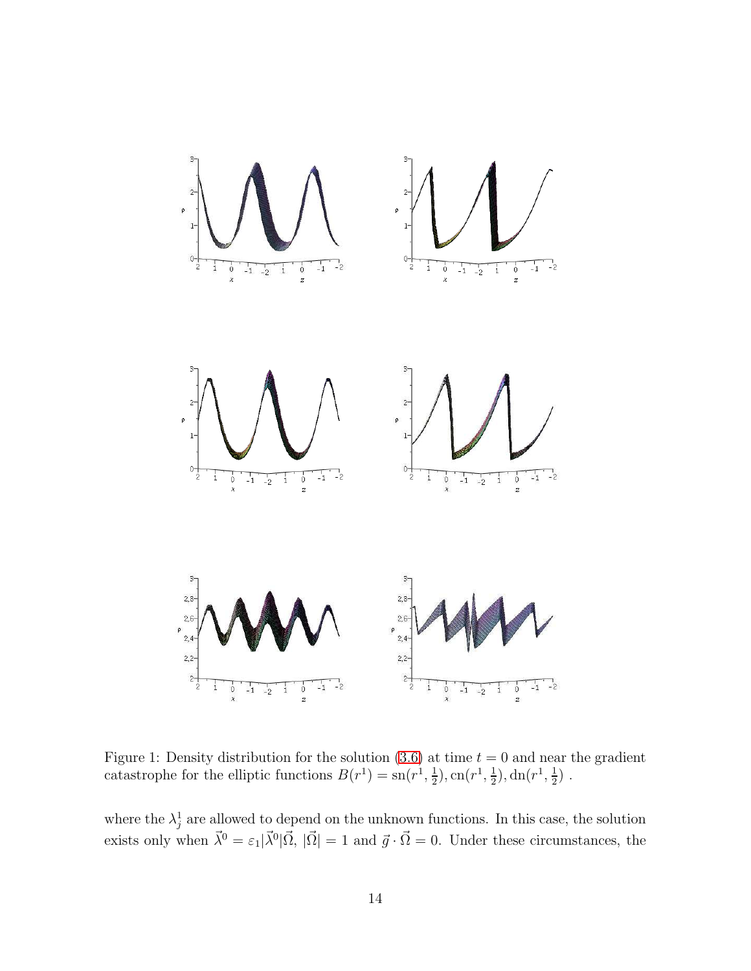

<span id="page-14-0"></span>Figure 1: Density distribution for the solution  $(3.6)$  at time  $t = 0$  and near the gradient catastrophe for the elliptic functions  $B(r^1) = \text{sn}(r^1, \frac{1}{2})$  $(\frac{1}{2}), \text{cn}(r^1, \frac{1}{2})$  $(\frac{1}{2}), \mathrm{dn}(r^1, \frac{1}{2})$  $\frac{1}{2}$ ).

where the  $\lambda_j^1$  are allowed to depend on the unknown functions. In this case, the solution exists only when  $\vec{\lambda}^0 = \epsilon_1 |\vec{\lambda}^0| \vec{\Omega}, |\vec{\Omega}| = 1$  and  $\vec{g} \cdot \vec{\Omega} = 0$ . Under these circumstances, the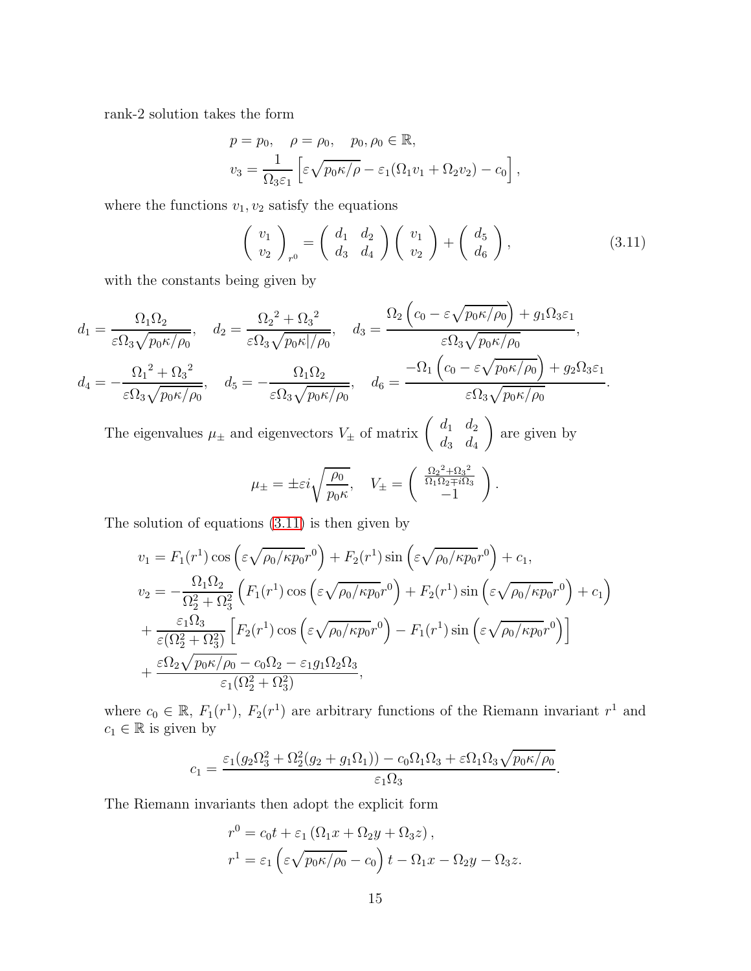rank-2 solution takes the form

$$
p = p_0, \quad \rho = \rho_0, \quad p_0, \rho_0 \in \mathbb{R},
$$
  

$$
v_3 = \frac{1}{\Omega_3 \varepsilon_1} \left[ \varepsilon \sqrt{p_0 \kappa / \rho} - \varepsilon_1 (\Omega_1 v_1 + \Omega_2 v_2) - c_0 \right],
$$

where the functions  $v_1, v_2$  satisfy the equations

<span id="page-15-0"></span>
$$
\begin{pmatrix} v_1 \\ v_2 \end{pmatrix}_{r^0} = \begin{pmatrix} d_1 & d_2 \\ d_3 & d_4 \end{pmatrix} \begin{pmatrix} v_1 \\ v_2 \end{pmatrix} + \begin{pmatrix} d_5 \\ d_6 \end{pmatrix}, \tag{3.11}
$$

.

.

with the constants being given by

$$
d_1 = \frac{\Omega_1 \Omega_2}{\varepsilon \Omega_3 \sqrt{p_0 \kappa / \rho_0}}, \quad d_2 = \frac{\Omega_2^2 + \Omega_3^2}{\varepsilon \Omega_3 \sqrt{p_0 \kappa / \rho_0}}, \quad d_3 = \frac{\Omega_2 \left( c_0 - \varepsilon \sqrt{p_0 \kappa / \rho_0} \right) + g_1 \Omega_3 \varepsilon_1}{\varepsilon \Omega_3 \sqrt{p_0 \kappa / \rho_0}},
$$

$$
d_4 = -\frac{\Omega_1^2 + \Omega_3^2}{\varepsilon \Omega_3 \sqrt{p_0 \kappa / \rho_0}}, \quad d_5 = -\frac{\Omega_1 \Omega_2}{\varepsilon \Omega_3 \sqrt{p_0 \kappa / \rho_0}}, \quad d_6 = \frac{-\Omega_1 \left( c_0 - \varepsilon \sqrt{p_0 \kappa / \rho_0} \right) + g_2 \Omega_3 \varepsilon_1}{\varepsilon \Omega_3 \sqrt{p_0 \kappa / \rho_0}}
$$

The eigenvalues  $\mu_{\pm}$  and eigenvectors  $V_{\pm}$  of matrix  $\begin{pmatrix} d_1 & d_2 \\ d & d \end{pmatrix}$  $d_3$   $d_4$  $\setminus$ are given by

$$
\mu_{\pm} = \pm \varepsilon i \sqrt{\frac{\rho_0}{p_0 \kappa}}, \quad V_{\pm} = \begin{pmatrix} \frac{\Omega_2^2 + \Omega_3^2}{\Omega_1 \Omega_2 \mp i \Omega_3} \\ -1 \end{pmatrix}.
$$

The solution of equations [\(3.11\)](#page-15-0) is then given by

$$
v_1 = F_1(r^1) \cos\left(\epsilon \sqrt{\rho_0/\kappa p_0}r^0\right) + F_2(r^1) \sin\left(\epsilon \sqrt{\rho_0/\kappa p_0}r^0\right) + c_1,
$$
  
\n
$$
v_2 = -\frac{\Omega_1 \Omega_2}{\Omega_2^2 + \Omega_3^2} \left(F_1(r^1) \cos\left(\epsilon \sqrt{\rho_0/\kappa p_0}r^0\right) + F_2(r^1) \sin\left(\epsilon \sqrt{\rho_0/\kappa p_0}r^0\right) + c_1\right)
$$
  
\n
$$
+ \frac{\varepsilon_1 \Omega_3}{\varepsilon(\Omega_2^2 + \Omega_3^2)} \left[F_2(r^1) \cos\left(\epsilon \sqrt{\rho_0/\kappa p_0}r^0\right) - F_1(r^1) \sin\left(\epsilon \sqrt{\rho_0/\kappa p_0}r^0\right)\right]
$$
  
\n
$$
+ \frac{\varepsilon \Omega_2 \sqrt{p_0 \kappa/\rho_0} - c_0 \Omega_2 - \varepsilon_1 g_1 \Omega_2 \Omega_3}{\varepsilon_1(\Omega_2^2 + \Omega_3^2)},
$$

where  $c_0 \in \mathbb{R}$ ,  $F_1(r^1)$ ,  $F_2(r^1)$  are arbitrary functions of the Riemann invariant  $r^1$  and  $c_1 \in \mathbb{R}$  is given by

$$
c_1 = \frac{\varepsilon_1 (g_2 \Omega_3^2 + \Omega_2^2 (g_2 + g_1 \Omega_1)) - c_0 \Omega_1 \Omega_3 + \varepsilon \Omega_1 \Omega_3 \sqrt{p_0 \kappa / \rho_0}}{\varepsilon_1 \Omega_3}
$$

The Riemann invariants then adopt the explicit form

$$
r^{0} = c_{0}t + \varepsilon_{1} (\Omega_{1}x + \Omega_{2}y + \Omega_{3}z),
$$
  
\n
$$
r^{1} = \varepsilon_{1} (\varepsilon \sqrt{p_{0}\kappa/\rho_{0}} - c_{0}) t - \Omega_{1}x - \Omega_{2}y - \Omega_{3}z.
$$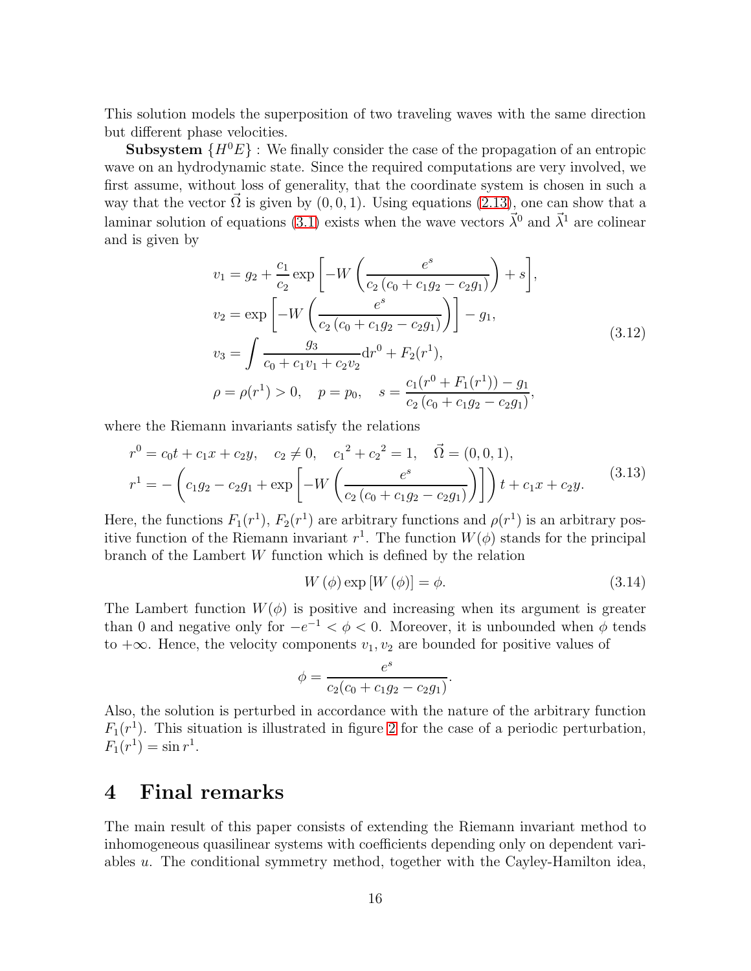This solution models the superposition of two traveling waves with the same direction but different phase velocities.

**Subsystem**  $\{H^{0}E\}$ : We finally consider the case of the propagation of an entropic wave on an hydrodynamic state. Since the required computations are very involved, we first assume, without loss of generality, that the coordinate system is chosen in such a way that the vector  $\Omega$  is given by  $(0, 0, 1)$ . Using equations  $(2.13)$ , one can show that a laminar solution of equations [\(3.1\)](#page-9-0) exists when the wave vectors  $\vec{\lambda}^0$  and  $\vec{\lambda}^1$  are colinear and is given by

$$
v_1 = g_2 + \frac{c_1}{c_2} \exp\left[-W\left(\frac{e^s}{c_2\left(c_0 + c_1g_2 - c_2g_1\right)}\right) + s\right],
$$
  
\n
$$
v_2 = \exp\left[-W\left(\frac{e^s}{c_2\left(c_0 + c_1g_2 - c_2g_1\right)}\right)\right] - g_1,
$$
  
\n
$$
v_3 = \int \frac{g_3}{c_0 + c_1v_1 + c_2v_2} dr^0 + F_2(r^1),
$$
  
\n
$$
\rho = \rho(r^1) > 0, \quad p = p_0, \quad s = \frac{c_1(r^0 + F_1(r^1)) - g_1}{c_2\left(c_0 + c_1g_2 - c_2g_1\right)},
$$
\n(3.12)

<span id="page-16-0"></span>where the Riemann invariants satisfy the relations

$$
r^{0} = c_{0}t + c_{1}x + c_{2}y, \quad c_{2} \neq 0, \quad c_{1}^{2} + c_{2}^{2} = 1, \quad \vec{\Omega} = (0, 0, 1),
$$
  

$$
r^{1} = -\left(c_{1}g_{2} - c_{2}g_{1} + \exp\left[-W\left(\frac{e^{s}}{c_{2}(c_{0} + c_{1}g_{2} - c_{2}g_{1})}\right)\right]\right)t + c_{1}x + c_{2}y.
$$
(3.13)

Here, the functions  $F_1(r^1)$ ,  $F_2(r^1)$  are arbitrary functions and  $\rho(r^1)$  is an arbitrary positive function of the Riemann invariant  $r^1$ . The function  $W(\phi)$  stands for the principal branch of the Lambert W function which is defined by the relation

$$
W(\phi) \exp\left[W\left(\phi\right)\right] = \phi. \tag{3.14}
$$

The Lambert function  $W(\phi)$  is positive and increasing when its argument is greater than 0 and negative only for  $-e^{-1} < \phi < 0$ . Moreover, it is unbounded when  $\phi$  tends to  $+\infty$ . Hence, the velocity components  $v_1, v_2$  are bounded for positive values of

$$
\phi = \frac{e^s}{c_2(c_0 + c_1g_2 - c_2g_1)}.
$$

Also, the solution is perturbed in accordance with the nature of the arbitrary function  $F_1(r^1)$ . This situation is illustrated in figure [2](#page-17-0) for the case of a periodic perturbation,  $F_1(r^1) = \sin r^1.$ 

## 4 Final remarks

The main result of this paper consists of extending the Riemann invariant method to inhomogeneous quasilinear systems with coefficients depending only on dependent variables u. The conditional symmetry method, together with the Cayley-Hamilton idea,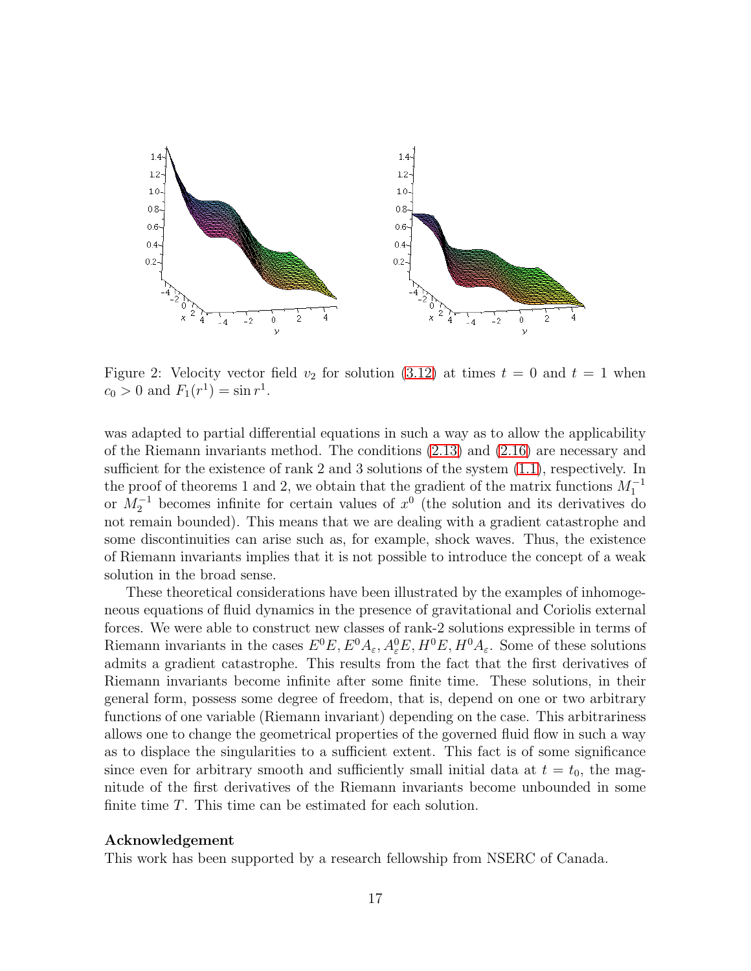

<span id="page-17-0"></span>Figure 2: Velocity vector field  $v_2$  for solution [\(3.12\)](#page-16-0) at times  $t = 0$  and  $t = 1$  when  $c_0 > 0$  and  $F_1(r^1) = \sin r^1$ .

was adapted to partial differential equations in such a way as to allow the applicability of the Riemann invariants method. The conditions [\(2.13\)](#page-6-0) and [\(2.16\)](#page-8-0) are necessary and sufficient for the existence of rank 2 and 3 solutions of the system [\(1.1\)](#page-2-0), respectively. In the proof of theorems 1 and 2, we obtain that the gradient of the matrix functions  $M_1^{-1}$ or  $M_2^{-1}$  becomes infinite for certain values of  $x^0$  (the solution and its derivatives do not remain bounded). This means that we are dealing with a gradient catastrophe and some discontinuities can arise such as, for example, shock waves. Thus, the existence of Riemann invariants implies that it is not possible to introduce the concept of a weak solution in the broad sense.

These theoretical considerations have been illustrated by the examples of inhomogeneous equations of fluid dynamics in the presence of gravitational and Coriolis external forces. We were able to construct new classes of rank-2 solutions expressible in terms of Riemann invariants in the cases  $E^0E, E^0A_\varepsilon, A_\varepsilon^0E, H^0E, H^0A_\varepsilon$ . Some of these solutions admits a gradient catastrophe. This results from the fact that the first derivatives of Riemann invariants become infinite after some finite time. These solutions, in their general form, possess some degree of freedom, that is, depend on one or two arbitrary functions of one variable (Riemann invariant) depending on the case. This arbitrariness allows one to change the geometrical properties of the governed fluid flow in such a way as to displace the singularities to a sufficient extent. This fact is of some significance since even for arbitrary smooth and sufficiently small initial data at  $t = t_0$ , the magnitude of the first derivatives of the Riemann invariants become unbounded in some finite time T. This time can be estimated for each solution.

#### Acknowledgement

This work has been supported by a research fellowship from NSERC of Canada.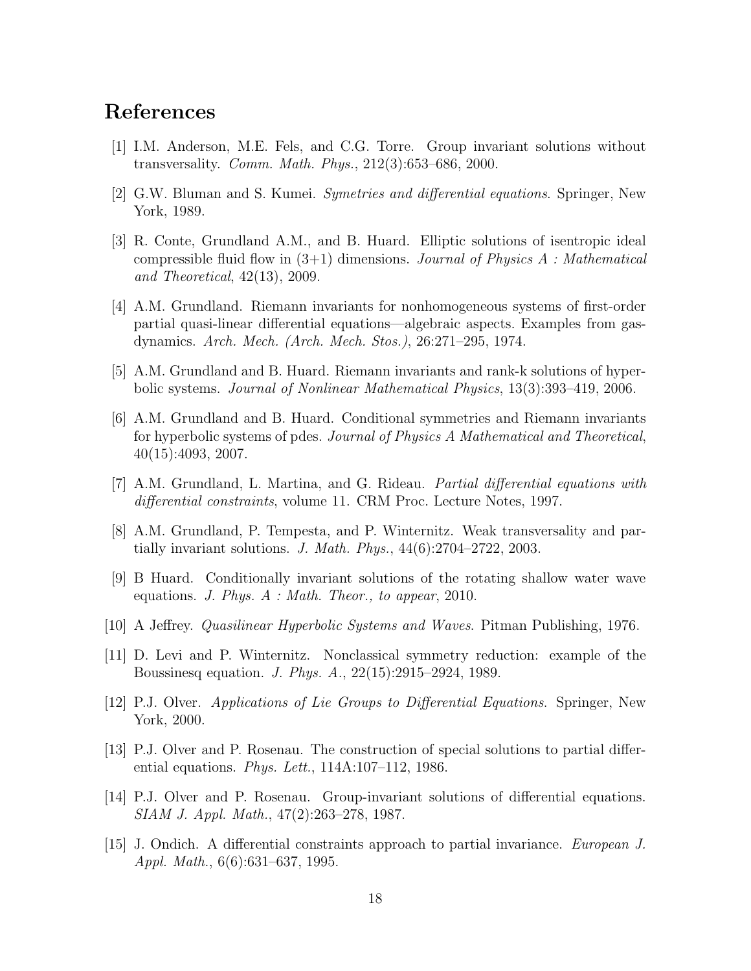# <span id="page-18-7"></span>References

- <span id="page-18-2"></span>[1] I.M. Anderson, M.E. Fels, and C.G. Torre. Group invariant solutions without transversality. Comm. Math. Phys., 212(3):653–686, 2000.
- <span id="page-18-10"></span>[2] G.W. Bluman and S. Kumei. Symetries and differential equations. Springer, New York, 1989.
- [3] R. Conte, Grundland A.M., and B. Huard. Elliptic solutions of isentropic ideal compressible fluid flow in  $(3+1)$  dimensions. Journal of Physics A : Mathematical and Theoretical, 42(13), 2009.
- <span id="page-18-13"></span>[4] A.M. Grundland. Riemann invariants for nonhomogeneous systems of first-order partial quasi-linear differential equations—algebraic aspects. Examples from gasdynamics. Arch. Mech. (Arch. Mech. Stos.), 26:271–295, 1974.
- <span id="page-18-5"></span><span id="page-18-4"></span>[5] A.M. Grundland and B. Huard. Riemann invariants and rank-k solutions of hyperbolic systems. Journal of Nonlinear Mathematical Physics, 13(3):393–419, 2006.
- [6] A.M. Grundland and B. Huard. Conditional symmetries and Riemann invariants for hyperbolic systems of pdes. Journal of Physics A Mathematical and Theoretical, 40(15):4093, 2007.
- <span id="page-18-8"></span><span id="page-18-6"></span>[7] A.M. Grundland, L. Martina, and G. Rideau. Partial differential equations with differential constraints, volume 11. CRM Proc. Lecture Notes, 1997.
- <span id="page-18-11"></span>[8] A.M. Grundland, P. Tempesta, and P. Winternitz. Weak transversality and partially invariant solutions. J. Math. Phys., 44(6):2704–2722, 2003.
- <span id="page-18-14"></span>[9] B Huard. Conditionally invariant solutions of the rotating shallow water wave equations. J. Phys. A : Math. Theor., to appear, 2010.
- <span id="page-18-3"></span>[10] A Jeffrey. Quasilinear Hyperbolic Systems and Waves. Pitman Publishing, 1976.
- [11] D. Levi and P. Winternitz. Nonclassical symmetry reduction: example of the Boussinesq equation. J. Phys. A., 22(15):2915–2924, 1989.
- <span id="page-18-12"></span>[12] P.J. Olver. Applications of Lie Groups to Differential Equations. Springer, New York, 2000.
- <span id="page-18-0"></span>[13] P.J. Olver and P. Rosenau. The construction of special solutions to partial differential equations. *Phys. Lett.*, 114A:107-112, 1986.
- <span id="page-18-9"></span>[14] P.J. Olver and P. Rosenau. Group-invariant solutions of differential equations. SIAM J. Appl. Math., 47(2):263–278, 1987.
- <span id="page-18-1"></span>[15] J. Ondich. A differential constraints approach to partial invariance. European J. Appl. Math., 6(6):631–637, 1995.